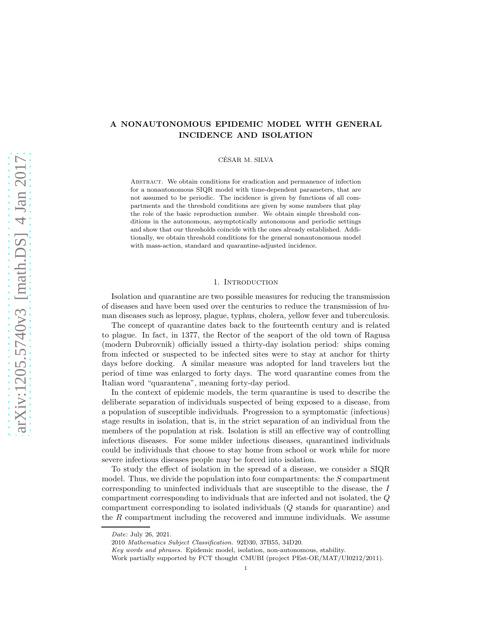# A NONAUTONOMOUS EPIDEMIC MODEL WITH GENERAL INCIDENCE AND ISOLATION

CÉSAR M. SILVA

ABSTRACT. We obtain conditions for eradication and permanence of infection for a nonautonomous SIQR model with time-dependent parameters, that are not assumed to be periodic. The incidence is given by functions of all compartments and the threshold conditions are given by some numbers that play the role of the basic reproduction number. We obtain simple threshold conditions in the autonomous, asymptotically autonomous and periodic settings and show that our thresholds coincide with the ones already established. Additionally, we obtain threshold conditions for the general nonautonomous model with mass-action, standard and quarantine-adjusted incidence.

# 1. INTRODUCTION

Isolation and quarantine are two possible measures for reducing the transmission of diseases and have been used over the centuries to reduce the transmission of human diseases such as leprosy, plague, typhus, cholera, yellow fever and tuberculosis.

The concept of quarantine dates back to the fourteenth century and is related to plague. In fact, in 1377, the Rector of the seaport of the old town of Ragusa (modern Dubrovnik) officially issued a thirty-day isolation period: ships coming from infected or suspected to be infected sites were to stay at anchor for thirty days before docking. A similar measure was adopted for land travelers but the period of time was enlarged to forty days. The word quarantine comes from the Italian word "quarantena", meaning forty-day period.

In the context of epidemic models, the term quarantine is used to describe the deliberate separation of individuals suspected of being exposed to a disease, from a population of susceptible individuals. Progression to a symptomatic (infectious) stage results in isolation, that is, in the strict separation of an individual from the members of the population at risk. Isolation is still an effective way of controlling infectious diseases. For some milder infectious diseases, quarantined individuals could be individuals that choose to stay home from school or work while for more severe infectious diseases people may be forced into isolation.

To study the effect of isolation in the spread of a disease, we consider a SIQR model. Thus, we divide the population into four compartments: the  $S$  compartment corresponding to uninfected individuals that are susceptible to the disease, the I compartment corresponding to individuals that are infected and not isolated, the Q compartment corresponding to isolated individuals (Q stands for quarantine) and the R compartment including the recovered and immune individuals. We assume

Date: July 26, 2021.

<sup>2010</sup> Mathematics Subject Classification. 92D30, 37B55, 34D20.

Key words and phrases. Epidemic model, isolation, non-autonomous, stability.

Work partially supported by FCT thought CMUBI (project PEst-OE/MAT/UI0212/2011).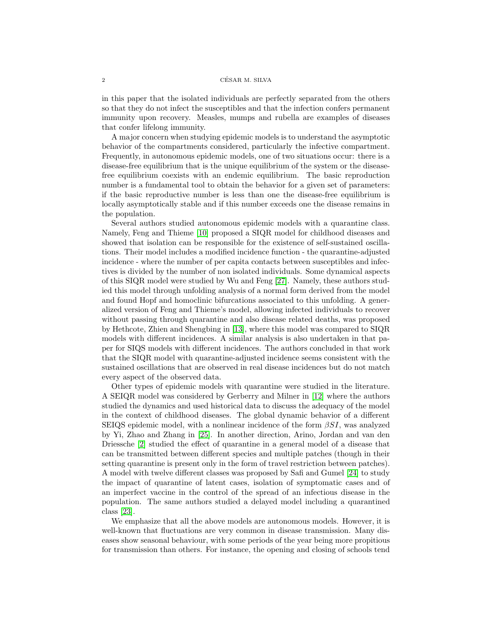#### $2$   $\,$   $\,$  CÉSAR M. SILVA  $\,$

in this paper that the isolated individuals are perfectly separated from the others so that they do not infect the susceptibles and that the infection confers permanent immunity upon recovery. Measles, mumps and rubella are examples of diseases that confer lifelong immunity.

A major concern when studying epidemic models is to understand the asymptotic behavior of the compartments considered, particularly the infective compartment. Frequently, in autonomous epidemic models, one of two situations occur: there is a disease-free equilibrium that is the unique equilibrium of the system or the diseasefree equilibrium coexists with an endemic equilibrium. The basic reproduction number is a fundamental tool to obtain the behavior for a given set of parameters: if the basic reproductive number is less than one the disease-free equilibrium is locally asymptotically stable and if this number exceeds one the disease remains in the population.

Several authors studied autonomous epidemic models with a quarantine class. Namely, Feng and Thieme [\[10\]](#page-22-0) proposed a SIQR model for childhood diseases and showed that isolation can be responsible for the existence of self-sustained oscillations. Their model includes a modified incidence function - the quarantine-adjusted incidence - where the number of per capita contacts between susceptibles and infectives is divided by the number of non isolated individuals. Some dynamical aspects of this SIQR model were studied by Wu and Feng [\[27\]](#page-22-1). Namely, these authors studied this model through unfolding analysis of a normal form derived from the model and found Hopf and homoclinic bifurcations associated to this unfolding. A generalized version of Feng and Thieme's model, allowing infected individuals to recover without passing through quarantine and also disease related deaths, was proposed by Hethcote, Zhien and Shengbing in [\[13\]](#page-22-2), where this model was compared to SIQR models with different incidences. A similar analysis is also undertaken in that paper for SIQS models with different incidences. The authors concluded in that work that the SIQR model with quarantine-adjusted incidence seems consistent with the sustained oscillations that are observed in real disease incidences but do not match every aspect of the observed data.

Other types of epidemic models with quarantine were studied in the literature. A SEIQR model was considered by Gerberry and Milner in [\[12\]](#page-22-3) where the authors studied the dynamics and used historical data to discuss the adequacy of the model in the context of childhood diseases. The global dynamic behavior of a different SEIQS epidemic model, with a nonlinear incidence of the form  $\beta SI$ , was analyzed by Yi, Zhao and Zhang in [\[25\]](#page-22-4). In another direction, Arino, Jordan and van den Driessche [\[2\]](#page-21-0) studied the effect of quarantine in a general model of a disease that can be transmitted between different species and multiple patches (though in their setting quarantine is present only in the form of travel restriction between patches). A model with twelve different classes was proposed by Safi and Gumel [\[24\]](#page-22-5) to study the impact of quarantine of latent cases, isolation of symptomatic cases and of an imperfect vaccine in the control of the spread of an infectious disease in the population. The same authors studied a delayed model including a quarantined class [\[23\]](#page-22-6).

We emphasize that all the above models are autonomous models. However, it is well-known that fluctuations are very common in disease transmission. Many diseases show seasonal behaviour, with some periods of the year being more propitious for transmission than others. For instance, the opening and closing of schools tend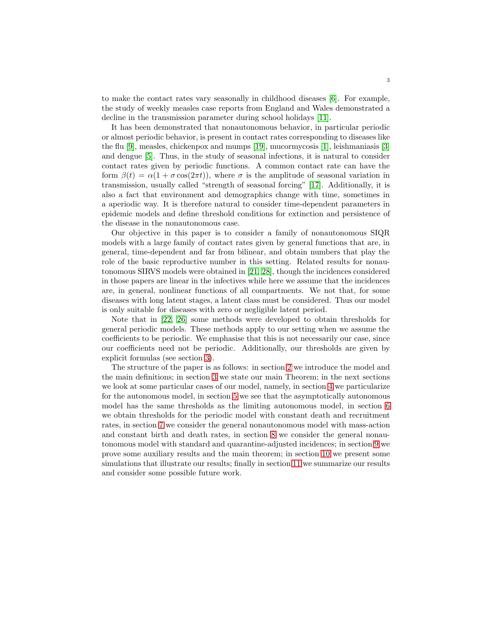to make the contact rates vary seasonally in childhood diseases [\[6\]](#page-21-1). For example, the study of weekly measles case reports from England and Wales demonstrated a decline in the transmission parameter during school holidays [\[11\]](#page-22-7).

It has been demonstrated that nonautonomous behavior, in particular periodic or almost periodic behavior, is present in contact rates corresponding to diseases like the flu [\[9\]](#page-22-8), measles, chickenpox and mumps [\[19\]](#page-22-9), mucormycosis [\[1\]](#page-21-2), leishmaniasis [\[3\]](#page-21-3) and dengue [\[5\]](#page-21-4). Thus, in the study of seasonal infections, it is natural to consider contact rates given by periodic functions. A common contact rate can have the form  $\beta(t) = \alpha(1 + \sigma \cos(2\pi t))$ , where  $\sigma$  is the amplitude of seasonal variation in transmission, usually called "strength of seasonal forcing" [\[17\]](#page-22-10). Additionally, it is also a fact that environment and demographics change with time, sometimes in a aperiodic way. It is therefore natural to consider time-dependent parameters in epidemic models and define threshold conditions for extinction and persistence of the disease in the nonautonomous case.

Our objective in this paper is to consider a family of nonautonomous SIQR models with a large family of contact rates given by general functions that are, in general, time-dependent and far from bilinear, and obtain numbers that play the role of the basic reproductive number in this setting. Related results for nonautonomous SIRVS models were obtained in [\[21,](#page-22-11) [28\]](#page-22-12), though the incidences considered in those papers are linear in the infectives while here we assume that the incidences are, in general, nonlinear functions of all compartments. We not that, for some diseases with long latent stages, a latent class must be considered. Thus our model is only suitable for diseases with zero or negligible latent period.

Note that in [\[22,](#page-22-13) [26\]](#page-22-14) some methods were developed to obtain thresholds for general periodic models. These methods apply to our setting when we assume the coefficients to be periodic. We emphasise that this is not necessarily our case, since our coefficients need not be periodic. Additionally, our thresholds are given by explicit formulas (see section [3\)](#page-7-0).

The structure of the paper is as follows: in section [2](#page-3-0) we introduce the model and the main definitions; in section [3](#page-7-0) we state our main Theorem; in the next sections we look at some particular cases of our model, namely, in section [4](#page-8-0) we particularize for the autonomous model, in section [5](#page-9-0) we see that the asymptotically autonomous model has the same thresholds as the limiting autonomous model, in section [6](#page-10-0) we obtain thresholds for the periodic model with constant death and recruitment rates, in section [7](#page-11-0) we consider the general nonautonomous model with mass-action and constant birth and death rates, in section [8](#page-12-0) we consider the general nonautonomous model with standard and quarantine-adjusted incidences; in section [9](#page-12-1) we prove some auxiliary results and the main theorem; in section [10](#page-18-0) we present some simulations that illustrate our results; finally in section [11](#page-20-0) we summarize our results and consider some possible future work.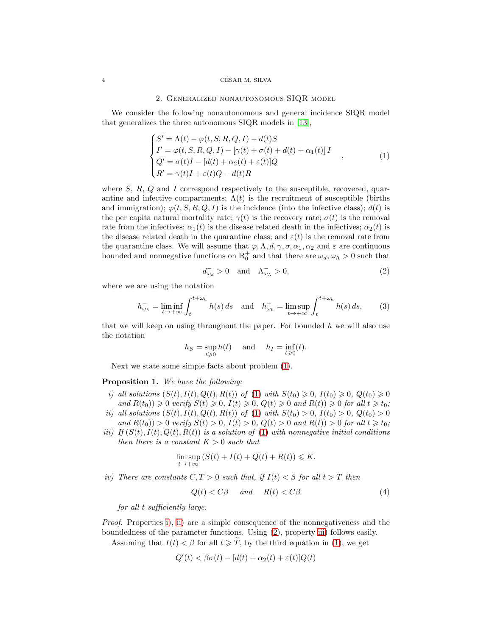#### <span id="page-3-0"></span>4 CESAR M. SILVA ´

### 2. Generalized nonautonomous SIQR model

We consider the following nonautonomous and general incidence SIQR model that generalizes the three autonomous SIQR models in [\[13\]](#page-22-2),

<span id="page-3-1"></span>
$$
\begin{cases}\nS' = \Lambda(t) - \varphi(t, S, R, Q, I) - d(t)S \\
I' = \varphi(t, S, R, Q, I) - [\gamma(t) + \sigma(t) + d(t) + \alpha_1(t)]I \\
Q' = \sigma(t)I - [d(t) + \alpha_2(t) + \varepsilon(t)]Q \\
R' = \gamma(t)I + \varepsilon(t)Q - d(t)R\n\end{cases}
$$
\n(1)

where  $S, R, Q$  and I correspond respectively to the susceptible, recovered, quarantine and infective compartments;  $\Lambda(t)$  is the recruitment of susceptible (births and immigration);  $\varphi(t, S, R, Q, I)$  is the incidence (into the infective class);  $d(t)$  is the per capita natural mortality rate;  $\gamma(t)$  is the recovery rate;  $\sigma(t)$  is the removal rate from the infectives;  $\alpha_1(t)$  is the disease related death in the infectives;  $\alpha_2(t)$  is the disease related death in the quarantine class; and  $\varepsilon(t)$  is the removal rate from the quarantine class. We will assume that  $\varphi, \Lambda, d, \gamma, \sigma, \alpha_1, \alpha_2$  and  $\varepsilon$  are continuous bounded and nonnegative functions on  $\mathbb{R}^+_0$  and that there are  $\omega_d, \omega_{\Lambda} > 0$  such that

<span id="page-3-4"></span>
$$
d_{\omega_d}^- > 0 \quad \text{and} \quad \Lambda_{\omega_\Lambda}^- > 0,\tag{2}
$$

where we are using the notation

<span id="page-3-9"></span>
$$
h_{\omega_h}^- = \liminf_{t \to +\infty} \int_t^{t + \omega_h} h(s) \, ds \quad \text{and} \quad h_{\omega_h}^+ = \limsup_{t \to +\infty} \int_t^{t + \omega_h} h(s) \, ds,\tag{3}
$$

that we will keep on using throughout the paper. For bounded  $h$  we will also use the notation

$$
h_S = \sup_{t \ge 0} h(t) \quad \text{ and } \quad h_I = \inf_{t \ge 0} (t).
$$

Next we state some simple facts about problem [\(1\)](#page-3-1).

<span id="page-3-7"></span><span id="page-3-2"></span>Proposition 1. We have the following:

- i) all solutions  $(S(t), I(t), Q(t), R(t))$  of [\(1\)](#page-3-1) with  $S(t_0) \ge 0, I(t_0) \ge 0, Q(t_0) \ge 0$ and  $R(t_0) \geq 0$  verify  $S(t) \geq 0$ ,  $I(t) \geq 0$ ,  $Q(t) \geq 0$  and  $R(t) \geq 0$  for all  $t \geq t_0$ ;
- <span id="page-3-3"></span>ii) all solutions  $(S(t), I(t), Q(t), R(t))$  of [\(1\)](#page-3-1) with  $S(t_0) > 0$ ,  $I(t_0) > 0$ ,  $Q(t_0) > 0$ and  $R(t_0) > 0$  verify  $S(t) > 0$ ,  $I(t) > 0$ ,  $Q(t) > 0$  and  $R(t) > 0$  for all  $t \geq t_0$ ;
- <span id="page-3-5"></span>iii) If  $(S(t), I(t), Q(t), R(t))$  is a solution of [\(1\)](#page-3-1) with nonnegative initial conditions then there is a constant  $K > 0$  such that

$$
\limsup_{t \to +\infty} (S(t) + I(t) + Q(t) + R(t)) \le K.
$$

<span id="page-3-6"></span>iv) There are constants  $C, T > 0$  such that, if  $I(t) < \beta$  for all  $t > T$  then

<span id="page-3-8"></span>
$$
Q(t) < C\beta \qquad \text{and} \qquad R(t) < C\beta \tag{4}
$$

for all t sufficiently large.

Proof. Properties [i\)](#page-3-2), [ii\)](#page-3-3) are a simple consequence of the nonnegativeness and the boundedness of the parameter functions. Using [\(2\)](#page-3-4), property [iii\)](#page-3-5) follows easily.

Assuming that  $I(t) < \beta$  for all  $t \geq \tilde{T}$ , by the third equation in [\(1\)](#page-3-1), we get

$$
Q'(t) < \beta \sigma(t) - [d(t) + \alpha_2(t) + \varepsilon(t)]Q(t)
$$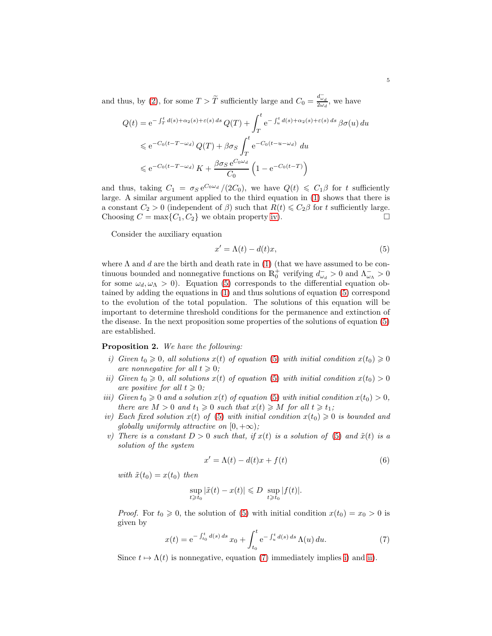and thus, by [\(2\)](#page-3-4), for some  $T > \tilde{T}$  sufficiently large and  $C_0 = \frac{d_{\omega_d}^{-1}}{2\omega_d}$ , we have

$$
Q(t) = e^{-\int_T^t d(s) + \alpha_2(s) + \varepsilon(s) ds} Q(T) + \int_T^t e^{-\int_u^t d(s) + \alpha_2(s) + \varepsilon(s) ds} \beta \sigma(u) du
$$
  
\$\leqslant e^{-C\_0(t - T - \omega\_d)} Q(T) + \beta \sigma\_s \int\_T^t e^{-C\_0(t - u - \omega\_d)} du\$  
\$\leqslant e^{-C\_0(t - T - \omega\_d)} K + \frac{\beta \sigma\_s e^{C\_0 \omega\_d}}{C\_0} \left(1 - e^{-C\_0(t - T)}\right)\$

and thus, taking  $C_1 = \sigma_S e^{C_0 \omega_d}/(2C_0)$ , we have  $Q(t) \leq C_1 \beta$  for t sufficiently large. A similar argument applied to the third equation in [\(1\)](#page-3-1) shows that there is a constant  $C_2 > 0$  (independent of  $\beta$ ) such that  $R(t) \leq C_2\beta$  for t sufficiently large. Choosing  $C = \max\{C_1, C_2\}$  we obtain property [iv\)](#page-3-6).

Consider the auxiliary equation

<span id="page-4-0"></span>
$$
x' = \Lambda(t) - d(t)x,\tag{5}
$$

where  $\Lambda$  and  $d$  are the birth and death rate in [\(1\)](#page-3-1) (that we have assumed to be continuous bounded and nonnegative functions on  $\mathbb{R}^+_0$  verifying  $d^-_{\omega_d} > 0$  and  $\Lambda^-_{\omega_\Lambda} > 0$ for some  $\omega_d, \omega_\Lambda > 0$ . Equation [\(5\)](#page-4-0) corresponds to the differential equation obtained by adding the equations in [\(1\)](#page-3-1) and thus solutions of equation [\(5\)](#page-4-0) correspond to the evolution of the total population. The solutions of this equation will be important to determine threshold conditions for the permanence and extinction of the disease. In the next proposition some properties of the solutions of equation [\(5\)](#page-4-0) are established.

<span id="page-4-8"></span><span id="page-4-2"></span>Proposition 2. We have the following:

- i) Given  $t_0 \geq 0$ , all solutions  $x(t)$  of equation [\(5\)](#page-4-0) with initial condition  $x(t_0) \geq 0$ are nonnegative for all  $t \geq 0$ ;
- <span id="page-4-3"></span>ii) Given  $t_0 \geq 0$ , all solutions  $x(t)$  of equation [\(5\)](#page-4-0) with initial condition  $x(t_0) > 0$ are positive for all  $t \geqslant 0$ ;
- <span id="page-4-4"></span>iii) Given  $t_0 \geq 0$  and a solution  $x(t)$  of equation [\(5\)](#page-4-0) with initial condition  $x(t_0) > 0$ , there are  $M > 0$  and  $t_1 \geq 0$  such that  $x(t) \geq M$  for all  $t \geq t_1$ ;
- <span id="page-4-5"></span>iv) Each fixed solution  $x(t)$  of [\(5\)](#page-4-0) with initial condition  $x(t_0) \geq 0$  is bounded and qlobally uniformly attractive on  $[0, +\infty)$ ;
- <span id="page-4-7"></span>v) There is a constant  $D > 0$  such that, if  $x(t)$  is a solution of [\(5\)](#page-4-0) and  $\tilde{x}(t)$  is a solution of the system

<span id="page-4-6"></span>
$$
x' = \Lambda(t) - d(t)x + f(t)
$$
\n(6)

with  $\tilde{x}(t_0) = x(t_0)$  then

$$
\sup_{t\geqslant t_0}|\tilde{x}(t)-x(t)|\leqslant D\ \sup_{t\geqslant t_0}|f(t)|.
$$

*Proof.* For  $t_0 \ge 0$ , the solution of [\(5\)](#page-4-0) with initial condition  $x(t_0) = x_0 > 0$  is given by

<span id="page-4-1"></span>
$$
x(t) = e^{-\int_{t_0}^t d(s) ds} x_0 + \int_{t_0}^t e^{-\int_u^t d(s) ds} \Lambda(u) du.
$$
 (7)

Since  $t \mapsto \Lambda(t)$  is nonnegative, equation [\(7\)](#page-4-1) immediately implies [i\)](#page-4-2) and [ii\)](#page-4-3).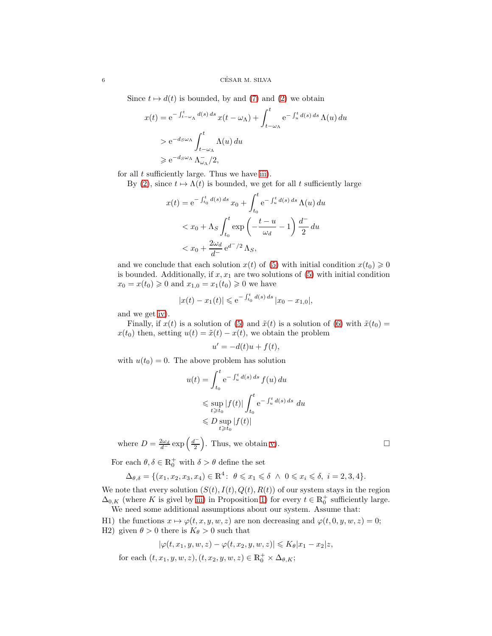Since  $t \mapsto d(t)$  is bounded, by and [\(7\)](#page-4-1) and [\(2\)](#page-3-4) we obtain

$$
x(t) = e^{-\int_{t-\omega_{\Lambda}}^{t} d(s) ds} x(t - \omega_{\Lambda}) + \int_{t-\omega_{\Lambda}}^{t} e^{-\int_{u}^{t} d(s) ds} \Lambda(u) du
$$
  
>  $e^{-d_{S}\omega_{\Lambda}} \int_{t-\omega_{\Lambda}}^{t} \Lambda(u) du$   
>  $e^{-d_{S}\omega_{\Lambda}} \Lambda_{\omega_{\Lambda}}^{-1}/2$ ,

for all  $t$  sufficiently large. Thus we have [iii\)](#page-4-4).

By [\(2\)](#page-3-4), since  $t \mapsto \Lambda(t)$  is bounded, we get for all t sufficiently large

$$
x(t) = e^{-\int_{t_0}^t d(s) ds} x_0 + \int_{t_0}^t e^{-\int_u^t d(s) ds} \Lambda(u) du
$$
  

$$
< x_0 + \Lambda_S \int_{t_0}^t \exp\left(-\frac{t - u}{\omega_d} - 1\right) \frac{d^-}{2} du
$$
  

$$
< x_0 + \frac{2\omega_d}{d^-} e^{d^-/2} \Lambda_S,
$$

and we conclude that each solution  $x(t)$  of [\(5\)](#page-4-0) with initial condition  $x(t_0) \ge 0$ is bounded. Additionally, if  $x, x_1$  are two solutions of  $(5)$  with initial condition  $x_0 = x(t_0) \geq 0$  and  $x_{1,0} = x_1(t_0) \geq 0$  we have

$$
|x(t) - x_1(t)| \le e^{-\int_{t_0}^t d(s) ds} |x_0 - x_{1,0}|,
$$

and we get [iv\)](#page-4-5).

Finally, if  $x(t)$  is a solution of [\(5\)](#page-4-0) and  $\tilde{x}(t)$  is a solution of [\(6\)](#page-4-6) with  $\tilde{x}(t_0) =$  $x(t_0)$  then, setting  $u(t) = \tilde{x}(t) - x(t)$ , we obtain the problem

$$
u' = -d(t)u + f(t),
$$

with  $u(t_0) = 0$ . The above problem has solution

$$
u(t) = \int_{t_0}^t e^{-\int_u^t d(s) ds} f(u) du
$$
  
\n
$$
\leq \sup_{t \geq t_0} |f(t)| \int_{t_0}^t e^{-\int_u^t d(s) ds} du
$$
  
\n
$$
\leq D \sup_{t \geq t_0} |f(t)|
$$

where  $D = \frac{2\omega_d}{d} \exp\left(\frac{d}{2}\right)$ 2 ). Thus, we obtain [v\)](#page-4-7).  $\square$ 

For each  $\theta, \delta \in \mathbb{R}_0^+$  with  $\delta > \theta$  define the set

$$
\Delta_{\theta,\delta} = \{ (x_1, x_2, x_3, x_4) \in \mathbb{R}^4 : \ \theta \leq x_1 \leq \delta \ \wedge \ 0 \leq x_i \leq \delta, \ i = 2, 3, 4 \}.
$$

We note that every solution  $(S(t), I(t), Q(t), R(t))$  of our system stays in the region  $\Delta_{0,K}$  (where K is givel by [iii\)](#page-3-5) in Proposition [1\)](#page-3-7) for every  $t \in \mathbb{R}^+_0$  sufficiently large. We need some additional assumptions about our system. Assume that:

<span id="page-5-1"></span><span id="page-5-0"></span>H1) the functions  $x \mapsto \varphi(t, x, y, w, z)$  are non decreasing and  $\varphi(t, 0, y, w, z) = 0$ ; H2) given  $\theta > 0$  there is  $K_{\theta} > 0$  such that

$$
|\varphi(t,x_1,y,w,z)-\varphi(t,x_2,y,w,z)|\leq K_\theta|x_1-x_2|z,
$$

for each  $(t, x_1, y, w, z), (t, x_2, y, w, z) \in \mathbb{R}_0^+ \times \Delta_{\theta, K};$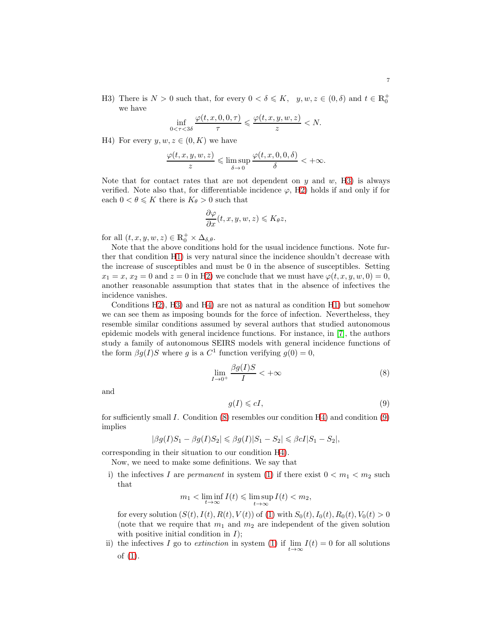<span id="page-6-0"></span>H3) There is  $N > 0$  such that, for every  $0 < \delta \leqslant K$ ,  $y, w, z \in (0, \delta)$  and  $t \in \mathbb{R}_0^+$ we have

$$
\inf_{0 < \tau < 3\delta} \frac{\varphi(t, x, 0, 0, \tau)}{\tau} \leqslant \frac{\varphi(t, x, y, w, z)}{z} < N.
$$

<span id="page-6-1"></span>H4) For every  $y, w, z \in (0, K)$  we have

$$
\frac{\varphi(t, x, y, w, z)}{z} \leq \limsup_{\delta \to 0} \frac{\varphi(t, x, 0, 0, \delta)}{\delta} < +\infty.
$$

Note that for contact rates that are not dependent on  $y$  and  $w$ , [H3\)](#page-6-0) is always verified. Note also that, for differentiable incidence  $\varphi$ , [H2\)](#page-5-0) holds if and only if for each  $0 < \theta \leq K$  there is  $K_{\theta} > 0$  such that

$$
\frac{\partial \varphi}{\partial x}(t, x, y, w, z) \leqslant K_{\theta} z,
$$

for all  $(t, x, y, w, z) \in \mathbb{R}_0^+ \times \Delta_{\delta, \theta}$ .

Note that the above conditions hold for the usual incidence functions. Note further that condition [H1\)](#page-5-1) is very natural since the incidence shouldn't decrease with the increase of susceptibles and must be 0 in the absence of susceptibles. Setting  $x_1 = x, x_2 = 0$  and  $z = 0$  in [H2\)](#page-5-0) we conclude that we must have  $\varphi(t, x, y, w, 0) = 0$ , another reasonable assumption that states that in the absence of infectives the incidence vanishes.

Conditions [H2\)](#page-5-0), [H3\)](#page-6-0) and [H4\)](#page-6-1) are not as natural as condition [H1\)](#page-5-1) but somehow we can see them as imposing bounds for the force of infection. Nevertheless, they resemble similar conditions assumed by several authors that studied autonomous epidemic models with general incidence functions. For instance, in [\[7\]](#page-22-15), the authors study a family of autonomous SEIRS models with general incidence functions of the form  $\beta g(I)S$  where g is a  $C^1$  function verifying  $g(0) = 0$ ,

<span id="page-6-2"></span>
$$
\lim_{I \to 0^+} \frac{\beta g(I)S}{I} < +\infty \tag{8}
$$

and

<span id="page-6-3"></span>
$$
g(I) \leqslant cI,\tag{9}
$$

for sufficiently small I. Condition  $(8)$  resembles our condition  $H_4$ ) and condition  $(9)$ implies

$$
|\beta g(I)S_1 - \beta g(I)S_2| \leq \beta g(I)|S_1 - S_2| \leq \beta cI|S_1 - S_2|,
$$

corresponding in their situation to our condition [H4\)](#page-6-1).

Now, we need to make some definitions. We say that

i) the infectives I are *permanent* in system [\(1\)](#page-3-1) if there exist  $0 < m_1 < m_2$  such that

$$
m_1 < \liminf_{t \to \infty} I(t) \leq \limsup_{t \to \infty} I(t) < m_2,
$$

for every solution  $(S(t), I(t), R(t), V(t))$  of [\(1\)](#page-3-1) with  $S_0(t), I_0(t), R_0(t), V_0(t) > 0$ (note that we require that  $m_1$  and  $m_2$  are independent of the given solution with positive initial condition in  $I$ );

ii) the infectives I go to *extinction* in system [\(1\)](#page-3-1) if  $\lim_{t\to\infty} I(t) = 0$  for all solutions of [\(1\)](#page-3-1).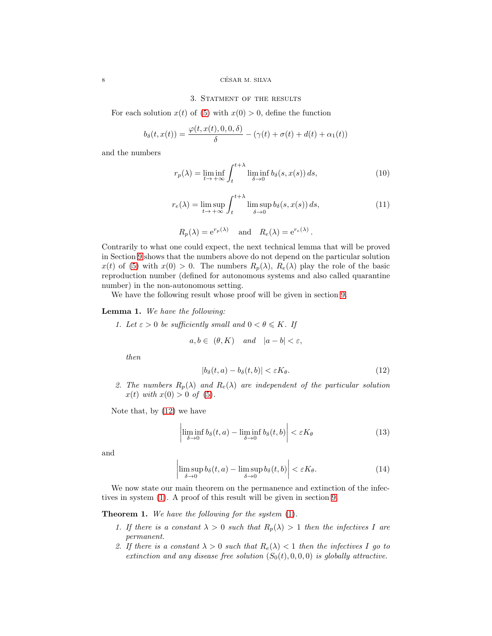### <span id="page-7-0"></span> $8$   $$\rm{CÉSAR}$  M. SILVA

# 3. Statment of the results

For each solution  $x(t)$  of [\(5\)](#page-4-0) with  $x(0) > 0$ , define the function

$$
b_{\delta}(t, x(t)) = \frac{\varphi(t, x(t), 0, 0, \delta)}{\delta} - (\gamma(t) + \sigma(t) + d(t) + \alpha_1(t))
$$

and the numbers

<span id="page-7-8"></span>
$$
r_p(\lambda) = \liminf_{t \to +\infty} \int_t^{t+\lambda} \liminf_{\delta \to 0} b_\delta(s, x(s)) ds,
$$
 (10)

<span id="page-7-9"></span>
$$
r_e(\lambda) = \limsup_{t \to +\infty} \int_t^{t+\lambda} \limsup_{\delta \to 0} b_\delta(s, x(s)) ds,
$$
 (11)

$$
R_p(\lambda) = e^{r_p(\lambda)}
$$
 and  $R_e(\lambda) = e^{r_e(\lambda)}$ .

Contrarily to what one could expect, the next technical lemma that will be proved in Section [9](#page-12-1) shows that the numbers above do not depend on the particular solution  $x(t)$  of [\(5\)](#page-4-0) with  $x(0) > 0$ . The numbers  $R_p(\lambda)$ ,  $R_e(\lambda)$  play the role of the basic reproduction number (defined for autonomous systems and also called quarantine number) in the non-autonomous setting.

We have the following result whose proof will be given in section [9.](#page-12-1)

# <span id="page-7-3"></span>Lemma 1. We have the following:

1. Let  $\varepsilon > 0$  be sufficiently small and  $0 < \theta \leq K$ . If

$$
a, b \in (\theta, K)
$$
 and  $|a - b| < \varepsilon$ ,

then

<span id="page-7-1"></span>
$$
|b_{\delta}(t, a) - b_{\delta}(t, b)| < \varepsilon K_{\theta}.\tag{12}
$$

2. The numbers  $R_p(\lambda)$  and  $R_e(\lambda)$  are independent of the particular solution  $x(t)$  with  $x(0) > 0$  of [\(5\)](#page-4-0).

Note that, by [\(12\)](#page-7-1) we have

<span id="page-7-4"></span>
$$
\left| \liminf_{\delta \to 0} b_{\delta}(t, a) - \liminf_{\delta \to 0} b_{\delta}(t, b) \right| < \varepsilon K_{\theta} \tag{13}
$$

and

<span id="page-7-5"></span>
$$
\left| \limsup_{\delta \to 0} b_{\delta}(t, a) - \limsup_{\delta \to 0} b_{\delta}(t, b) \right| < \varepsilon K_{\theta}.\tag{14}
$$

We now state our main theorem on the permanence and extinction of the infectives in system [\(1\)](#page-3-1). A proof of this result will be given in section [9.](#page-12-1)

<span id="page-7-6"></span><span id="page-7-2"></span>Theorem 1. We have the following for the system [\(1\)](#page-3-1).

- 1. If there is a constant  $\lambda > 0$  such that  $R_n(\lambda) > 1$  then the infectives I are permanent.
- <span id="page-7-7"></span>2. If there is a constant  $\lambda > 0$  such that  $R_e(\lambda) < 1$  then the infectives I go to extinction and any disease free solution  $(S_0(t), 0, 0, 0)$  is globally attractive.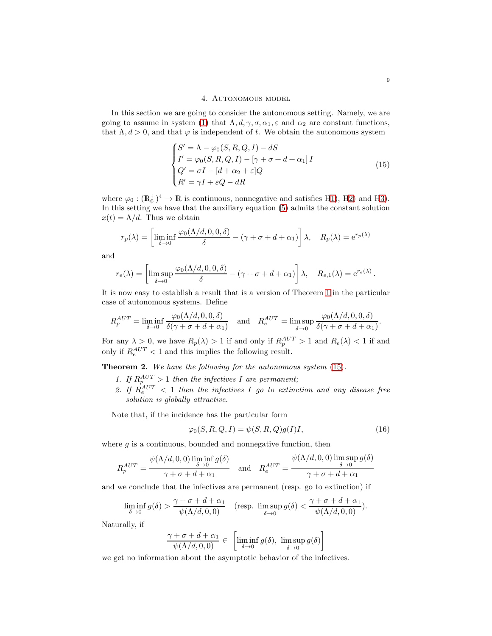# 4. Autonomous model

<span id="page-8-0"></span>In this section we are going to consider the autonomous setting. Namely, we are going to assume in system [\(1\)](#page-3-1) that  $\Lambda, d, \gamma, \sigma, \alpha_1, \varepsilon$  and  $\alpha_2$  are constant functions, that  $\Lambda, d > 0$ , and that  $\varphi$  is independent of t. We obtain the autonomous system

<span id="page-8-1"></span>
$$
\begin{cases}\nS' = \Lambda - \varphi_0(S, R, Q, I) - dS \\
I' = \varphi_0(S, R, Q, I) - [\gamma + \sigma + d + \alpha_1]I \\
Q' = \sigma I - [d + \alpha_2 + \varepsilon]Q \\
R' = \gamma I + \varepsilon Q - dR\n\end{cases}
$$
\n(15)

where  $\varphi_0 : (\mathbb{R}_0^+)^4 \to \mathbb{R}$  is continuous, nonnegative and satisfies [H1\)](#page-5-1), [H2\)](#page-5-0) and [H3\)](#page-6-0). In this setting we have that the auxiliary equation [\(5\)](#page-4-0) admits the constant solution  $x(t) = \Lambda/d$ . Thus we obtain

$$
r_p(\lambda) = \left[ \liminf_{\delta \to 0} \frac{\varphi_0(\Lambda/d, 0, 0, \delta)}{\delta} - (\gamma + \sigma + d + \alpha_1) \right] \lambda, \quad R_p(\lambda) = e^{r_p(\lambda)}
$$

and

$$
r_e(\lambda) = \left[ \limsup_{\delta \to 0} \frac{\varphi_0(\Lambda/d, 0, 0, \delta)}{\delta} - (\gamma + \sigma + d + \alpha_1) \right] \lambda, \quad R_{e,1}(\lambda) = e^{r_e(\lambda)}.
$$

It is now easy to establish a result that is a version of Theorem [1](#page-7-2) in the particular case of autonomous systems. Define

$$
R_p^{AUT} = \liminf_{\delta \to 0} \frac{\varphi_0(\Lambda/d, 0, 0, \delta)}{\delta(\gamma + \sigma + d + \alpha_1)} \quad \text{and} \quad R_e^{AUT} = \limsup_{\delta \to 0} \frac{\varphi_0(\Lambda/d, 0, 0, \delta)}{\delta(\gamma + \sigma + d + \alpha_1)}.
$$

For any  $\lambda > 0$ , we have  $R_p(\lambda) > 1$  if and only if  $R_p^{AUT} > 1$  and  $R_e(\lambda) < 1$  if and only if  $R_e^{AUT}$  < 1 and this implies the following result.

<span id="page-8-3"></span>Theorem 2. We have the following for the autonomous system  $(15)$ .

- 1. If  $R_p^{AUT} > 1$  then the infectives I are permanent;
- 2. If  $R_e^{AUT}$  < 1 then the infectives I go to extinction and any disease free solution is globally attractive.

Note that, if the incidence has the particular form

<span id="page-8-2"></span>
$$
\varphi_0(S, R, Q, I) = \psi(S, R, Q)g(I)I,
$$
\n(16)

where  $g$  is a continuous, bounded and nonnegative function, then

$$
R_p^{AUT} = \frac{\psi(\Lambda/d, 0, 0) \liminf_{\delta \to 0} g(\delta)}{\gamma + \sigma + d + \alpha_1} \quad \text{and} \quad R_e^{AUT} = \frac{\psi(\Lambda/d, 0, 0) \limsup_{\delta \to 0} g(\delta)}{\gamma + \sigma + d + \alpha_1}
$$

and we conclude that the infectives are permanent (resp. go to extinction) if

$$
\liminf_{\delta \to 0} g(\delta) > \frac{\gamma + \sigma + d + \alpha_1}{\psi(\Lambda/d, 0, 0)} \quad (\text{resp. } \limsup_{\delta \to 0} g(\delta) < \frac{\gamma + \sigma + d + \alpha_1}{\psi(\Lambda/d, 0, 0)}).
$$

Naturally, if

$$
\frac{\gamma+\sigma+d+\alpha_1}{\psi(\Lambda/d,0,0)}\in\ \left[\liminf_{\delta\to 0}g(\delta),\ \limsup_{\delta\to 0}g(\delta)\right]
$$

we get no information about the asymptotic behavior of the infectives.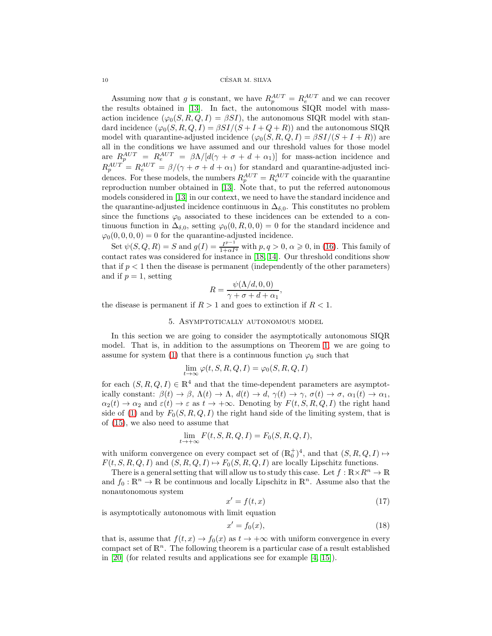$\begin{minipage}{.4\linewidth} \textbf{10} & \textbf{CÉSAR M. SILVA} \end{minipage}$ 

Assuming now that g is constant, we have  $R_p^{AUT} = R_e^{AUT}$  and we can recover the results obtained in [\[13\]](#page-22-2). In fact, the autonomous SIQR model with massaction incidence  $(\varphi_0(S, R, Q, I) = \beta SI)$ , the autonomous SIQR model with standard incidence  $(\varphi_0(S, R, Q, I) = \beta SI/(S + I + Q + R))$  and the autonomous SIQR model with quarantine-adjusted incidence  $(\varphi_0(S, R, Q, I) = \beta SI/(S + I + R))$  are all in the conditions we have assumed and our threshold values for those model are  $R_p^{AUT} = R_e^{AUT} = \beta \Lambda / [d(\gamma + \sigma + d + \alpha_1)]$  for mass-action incidence and  $R_p^{AUT} = R_e^{AUT} = \beta/(\gamma + \sigma + d + \alpha_1)$  for standard and quarantine-adjusted incidences. For these models, the numbers  $R_p^{AUT} = R_e^{AUT}$  coincide with the quarantine reproduction number obtained in [\[13\]](#page-22-2). Note that, to put the referred autonomous models considered in [\[13\]](#page-22-2) in our context, we need to have the standard incidence and the quarantine-adjusted incidence continuous in  $\Delta_{\delta,0}$ . This constitutes no problem since the functions  $\varphi_0$  associated to these incidences can be extended to a continuous function in  $\Delta_{\delta,0}$ , setting  $\varphi_0(0,R,0,0) = 0$  for the standard incidence and  $\varphi_0(0, 0, 0, 0) = 0$  for the quarantine-adjusted incidence.

Set  $\psi(S, Q, R) = S$  and  $g(I) = \frac{I^{p-1}}{1+\alpha I^q}$  with  $p, q > 0, \alpha \geq 0$ , in [\(16\)](#page-8-2). This family of contact rates was considered for instance in [\[18,](#page-22-16) [14\]](#page-22-17). Our threshold conditions show that if  $p < 1$  then the disease is permanent (independently of the other parameters) and if  $p = 1$ , setting

$$
R = \frac{\psi(\Lambda/d, 0, 0)}{\gamma + \sigma + d + \alpha_1},
$$

<span id="page-9-0"></span>the disease is permanent if  $R > 1$  and goes to extinction if  $R < 1$ .

# 5. Asymptotically autonomous model

In this section we are going to consider the asymptotically autonomous SIQR model. That is, in addition to the assumptions on Theorem [1,](#page-7-2) we are going to assume for system [\(1\)](#page-3-1) that there is a continuous function  $\varphi_0$  such that

$$
\lim_{t \to \infty} \varphi(t, S, R, Q, I) = \varphi_0(S, R, Q, I)
$$

for each  $(S, R, Q, I) \in \mathbb{R}^4$  and that the time-dependent parameters are asymptotically constant:  $\beta(t) \to \beta$ ,  $\Lambda(t) \to \Lambda$ ,  $d(t) \to d$ ,  $\gamma(t) \to \gamma$ ,  $\sigma(t) \to \sigma$ ,  $\alpha_1(t) \to \alpha_1$ ,  $\alpha_2(t) \to \alpha_2$  and  $\varepsilon(t) \to \varepsilon$  as  $t \to +\infty$ . Denoting by  $F(t, S, R, Q, I)$  the right hand side of [\(1\)](#page-3-1) and by  $F_0(S, R, Q, I)$  the right hand side of the limiting system, that is of [\(15\)](#page-8-1), we also need to assume that

$$
\lim_{t \to +\infty} F(t, S, R, Q, I) = F_0(S, R, Q, I),
$$

with uniform convergence on every compact set of  $(\mathbb{R}_0^+)^4$ , and that  $(S, R, Q, I) \mapsto$  $F(t, S, R, Q, I)$  and  $(S, R, Q, I) \mapsto F_0(S, R, Q, I)$  are locally Lipschitz functions.

There is a general setting that will allow us to study this case. Let  $f : \mathbb{R} \times \mathbb{R}^n \to \mathbb{R}$ and  $f_0: \mathbb{R}^n \to \mathbb{R}$  be continuous and locally Lipschitz in  $\mathbb{R}^n$ . Assume also that the nonautonomous system

<span id="page-9-1"></span>
$$
x' = f(t, x) \tag{17}
$$

is asymptotically autonomous with limit equation

<span id="page-9-2"></span>
$$
x' = f_0(x),\tag{18}
$$

that is, assume that  $f(t, x) \to f_0(x)$  as  $t \to +\infty$  with uniform convergence in every compact set of  $\mathbb{R}^n$ . The following theorem is a particular case of a result established in [\[20\]](#page-22-18) (for related results and applications see for example [\[4,](#page-21-5) [15\]](#page-22-19)).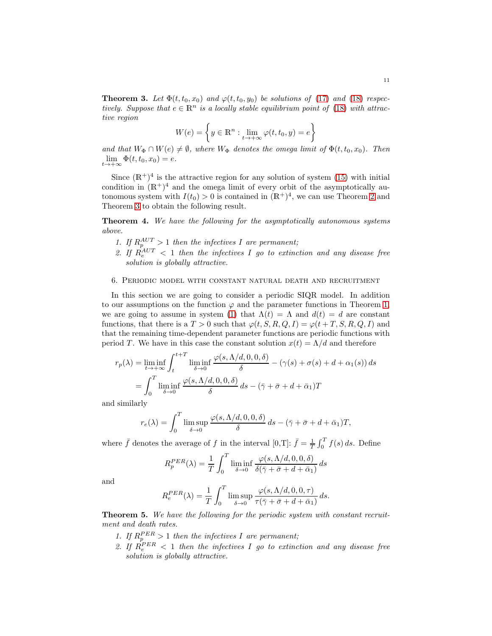<span id="page-10-1"></span>**Theorem 3.** Let  $\Phi(t, t_0, x_0)$  and  $\varphi(t, t_0, y_0)$  be solutions of [\(17\)](#page-9-1) and [\(18\)](#page-9-2) respectively. Suppose that  $e \in \mathbb{R}^n$  is a locally stable equilibrium point of [\(18\)](#page-9-2) with attractive region

$$
W(e) = \left\{ y \in \mathbb{R}^n : \lim_{t \to +\infty} \varphi(t, t_0, y) = e \right\}
$$

and that  $W_{\Phi} \cap W(e) \neq \emptyset$ , where  $W_{\Phi}$  denotes the omega limit of  $\Phi(t, t_0, x_0)$ . Then  $\lim_{t\to+\infty}\Phi(t,t_0,x_0)=e.$ 

Since  $(\mathbb{R}^+)^4$  is the attractive region for any solution of system [\(15\)](#page-8-1) with initial condition in  $(\mathbb{R}^+)^4$  and the omega limit of every orbit of the asymptotically autonomous system with  $I(t_0) > 0$  is contained in  $(\mathbb{R}^+)^4$ , we can use Theorem [2](#page-8-3) and Theorem [3](#page-10-1) to obtain the following result.

<span id="page-10-2"></span>Theorem 4. We have the following for the asymptotically autonomous systems above.

- 1. If  $R_p^{AUT} > 1$  then the infectives I are permanent;
- 2. If  $R_e^{AUT}$  < 1 then the infectives I go to extinction and any disease free solution is globally attractive.

# <span id="page-10-0"></span>6. Periodic model with constant natural death and recruitment

In this section we are going to consider a periodic SIQR model. In addition to our assumptions on the function  $\varphi$  and the parameter functions in Theorem [1,](#page-7-2) we are going to assume in system [\(1\)](#page-3-1) that  $\Lambda(t) = \Lambda$  and  $d(t) = d$  are constant functions, that there is a  $T > 0$  such that  $\varphi(t, S, R, Q, I) = \varphi(t + T, S, R, Q, I)$  and that the remaining time-dependent parameter functions are periodic functions with period T. We have in this case the constant solution  $x(t) = \Lambda/d$  and therefore

$$
r_p(\lambda) = \liminf_{t \to +\infty} \int_t^{t+T} \liminf_{\delta \to 0} \frac{\varphi(s, \Lambda/d, 0, 0, \delta)}{\delta} - (\gamma(s) + \sigma(s) + d + \alpha_1(s)) ds
$$
  
= 
$$
\int_0^T \liminf_{\delta \to 0} \frac{\varphi(s, \Lambda/d, 0, 0, \delta)}{\delta} ds - (\bar{\gamma} + \bar{\sigma} + d + \bar{\alpha}_1)T
$$

and similarly

$$
r_e(\lambda) = \int_0^T \limsup_{\delta \to 0} \frac{\varphi(s, \Lambda/d, 0, 0, \delta)}{\delta} ds - (\bar{\gamma} + \bar{\sigma} + d + \bar{\alpha}_1)T,
$$

where  $\bar{f}$  denotes the average of f in the interval [0,T]:  $\bar{f} = \frac{1}{T} \int_0^T f(s) ds$ . Define

$$
R_p^{PER}(\lambda) = \frac{1}{T} \int_0^T \liminf_{\delta \to 0} \frac{\varphi(s, \Lambda/d, 0, 0, \delta)}{\delta(\bar{\gamma} + \bar{\sigma} + d + \bar{\alpha}_1)} ds
$$

and

$$
R_e^{PER}(\lambda) = \frac{1}{T} \int_0^T \limsup_{\delta \to 0} \frac{\varphi(s, \Lambda/d, 0, 0, \tau)}{\tau(\bar{\gamma} + \bar{\sigma} + d + \bar{\alpha}_1)} ds.
$$

<span id="page-10-3"></span>Theorem 5. We have the following for the periodic system with constant recruitment and death rates.

- 1. If  $R_p^{PER} > 1$  then the infectives I are permanent;
- 2. If  $R_e^{PER} < 1$  then the infectives I go to extinction and any disease free solution is globally attractive.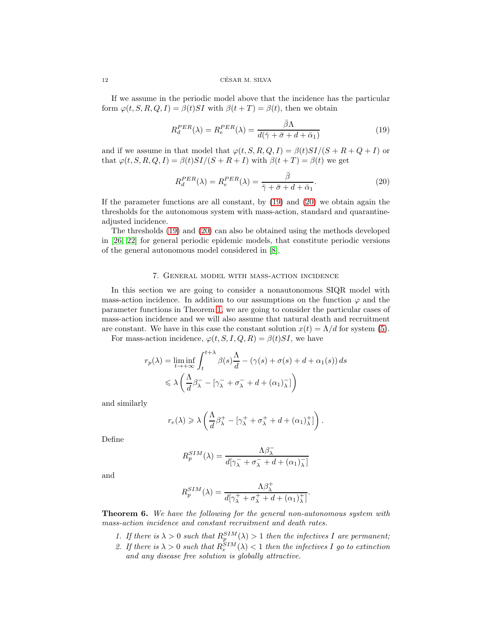### 12 CESAR M. SILVA ´

If we assume in the periodic model above that the incidence has the particular form  $\varphi(t, S, R, Q, I) = \beta(t)SI$  with  $\beta(t+T) = \beta(t)$ , then we obtain

<span id="page-11-1"></span>
$$
R_d^{PER}(\lambda) = R_e^{PER}(\lambda) = \frac{\bar{\beta}\Lambda}{d(\bar{\gamma} + \bar{\sigma} + d + \bar{\alpha}_1)}
$$
(19)

and if we assume in that model that  $\varphi(t, S, R, Q, I) = \beta(t)SI/(S + R + Q + I)$  or that  $\varphi(t, S, R, Q, I) = \beta(t)SI/(S + R + I)$  with  $\beta(t + T) = \beta(t)$  we get

<span id="page-11-2"></span>
$$
R_d^{PER}(\lambda) = R_e^{PER}(\lambda) = \frac{\bar{\beta}}{\bar{\gamma} + \bar{\sigma} + d + \bar{\alpha}_1}.
$$
 (20)

If the parameter functions are all constant, by [\(19\)](#page-11-1) and [\(20\)](#page-11-2) we obtain again the thresholds for the autonomous system with mass-action, standard and quarantineadjusted incidence.

The thresholds [\(19\)](#page-11-1) and [\(20\)](#page-11-2) can also be obtained using the methods developed in [\[26,](#page-22-14) [22\]](#page-22-13) for general periodic epidemic models, that constitute periodic versions of the general autonomous model considered in [\[8\]](#page-22-20).

# 7. General model with mass-action incidence

<span id="page-11-0"></span>In this section we are going to consider a nonautonomous SIQR model with mass-action incidence. In addition to our assumptions on the function  $\varphi$  and the parameter functions in Theorem [1,](#page-7-2) we are going to consider the particular cases of mass-action incidence and we will also assume that natural death and recruitment are constant. We have in this case the constant solution  $x(t) = \Lambda/d$  for system [\(5\)](#page-4-0).

For mass-action incidence,  $\varphi(t, S, I, Q, R) = \beta(t)SI$ , we have

$$
r_p(\lambda) = \liminf_{t \to +\infty} \int_t^{t+\lambda} \beta(s) \frac{\Lambda}{d} - (\gamma(s) + \sigma(s) + d + \alpha_1(s)) ds
$$
  
\$\leqslant \lambda \left( \frac{\Lambda}{d} \beta\_{\lambda}^- - [\gamma\_{\lambda}^- + \sigma\_{\lambda}^- + d + (\alpha\_1)\_{\lambda}^-] \right)\$

and similarly

$$
r_e(\lambda) \geqslant \lambda \left( \frac{\Lambda}{d} \beta_{\lambda}^+ - \left[ \gamma_{\lambda}^+ + \sigma_{\lambda}^+ + d + (\alpha_1)^+_{\lambda} \right] \right).
$$

Define

$$
R_p^{SIM}(\lambda) = \frac{\Lambda \beta_{\lambda}^{-}}{d[\gamma_{\lambda}^{-} + \sigma_{\lambda}^{-} + d + (\alpha_1)^{-}_{\lambda}]}
$$

and

$$
R_p^{SIM}(\lambda) = \frac{\Lambda \beta_{\lambda}^+}{d[\gamma_{\lambda}^+ + \sigma_{\lambda}^+ + d + (\alpha_1)_{\lambda}^+]}
$$

.

<span id="page-11-3"></span>**Theorem 6.** We have the following for the general non-autonomous system with mass-action incidence and constant recruitment and death rates.

- 1. If there is  $\lambda > 0$  such that  $R_p^{SIM}(\lambda) > 1$  then the infectives I are permanent;
- 2. If there is  $\lambda > 0$  such that  $R_e^{SIM}(\lambda) < 1$  then the infectives I go to extinction and any disease free solution is globally attractive.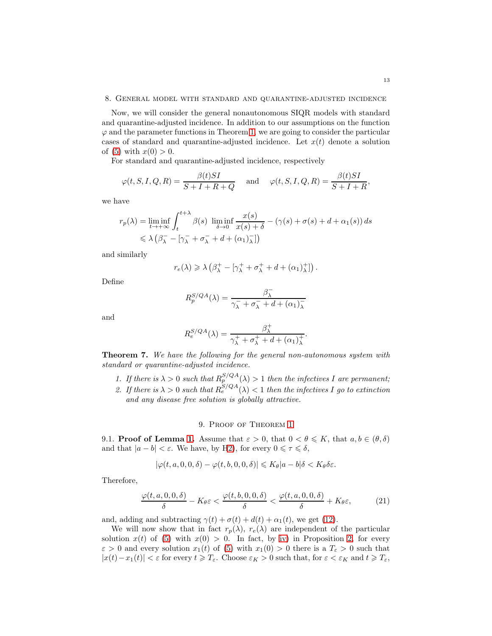### <span id="page-12-0"></span>8. General model with standard and quarantine-adjusted incidence

Now, we will consider the general nonautonomous SIQR models with standard and quarantine-adjusted incidence. In addition to our assumptions on the function  $\varphi$  and the parameter functions in Theorem [1,](#page-7-2) we are going to consider the particular cases of standard and quarantine-adjusted incidence. Let  $x(t)$  denote a solution of [\(5\)](#page-4-0) with  $x(0) > 0$ .

For standard and quarantine-adjusted incidence, respectively

$$
\varphi(t, S, I, Q, R) = \frac{\beta(t)SI}{S + I + R + Q}
$$
 and  $\varphi(t, S, I, Q, R) = \frac{\beta(t)SI}{S + I + R}$ ,

we have

$$
r_p(\lambda) = \liminf_{t \to +\infty} \int_t^{t+\lambda} \beta(s) \liminf_{\delta \to 0} \frac{x(s)}{x(s) + \delta} - (\gamma(s) + \sigma(s) + d + \alpha_1(s)) ds
$$
  
\$\leq \lambda (\beta\_\lambda^- - [\gamma\_\lambda^- + \sigma\_\lambda^- + d + (\alpha\_1)\_\lambda^-])

and similarly

$$
r_e(\lambda) \geqslant \lambda \left(\beta_{\lambda}^+ - \left[\gamma_{\lambda}^+ + \sigma_{\lambda}^+ + d + (\alpha_1)_{\lambda}^+\right]\right).
$$

Define

$$
R_p^{S/QA}(\lambda) = \frac{\beta_{\lambda}^-}{\gamma_{\lambda}^- + \sigma_{\lambda}^- + d + (\alpha_1)_{\lambda}^-}
$$

and

$$
R_e^{S/QA}(\lambda) = \frac{\beta_{\lambda}^+}{\gamma_{\lambda}^+ + \sigma_{\lambda}^+ + d + (\alpha_1)_{\lambda}^+}.
$$

<span id="page-12-2"></span>Theorem 7. We have the following for the general non-autonomous system with standard or quarantine-adjusted incidence.

- 1. If there is  $\lambda > 0$  such that  $R_p^{S/QA}(\lambda) > 1$  then the infectives I are permanent;
- 2. If there is  $\lambda > 0$  such that  $R_e^{S/QA}(\lambda) < 1$  then the infectives I go to extinction and any disease free solution is globally attractive.

# 9. Proof of Theorem [1](#page-7-2)

<span id="page-12-1"></span>9.1. **Proof of Lemma [1.](#page-7-3)** Assume that  $\varepsilon > 0$ , that  $0 < \theta \leq K$ , that  $a, b \in (\theta, \delta)$ and that  $|a - b| < \varepsilon$ . We have, by [H2\)](#page-5-0), for every  $0 \le \tau \le \delta$ ,

$$
|\varphi(t, a, 0, 0, \delta) - \varphi(t, b, 0, 0, \delta)| \leqslant K_{\theta} |a - b| \delta < K_{\theta} \delta \varepsilon.
$$

Therefore,

$$
\frac{\varphi(t,a,0,0,\delta)}{\delta} - K_{\theta}\varepsilon < \frac{\varphi(t,b,0,0,\delta)}{\delta} < \frac{\varphi(t,a,0,0,\delta)}{\delta} + K_{\theta}\varepsilon,\tag{21}
$$

and, adding and subtracting  $\gamma(t) + \sigma(t) + d(t) + \alpha_1(t)$ , we get [\(12\)](#page-7-1).

We will now show that in fact  $r_p(\lambda)$ ,  $r_e(\lambda)$  are independent of the particular solution  $x(t)$  of [\(5\)](#page-4-0) with  $x(0) > 0$ . In fact, by [iv\)](#page-4-5) in Proposition [2,](#page-4-8) for every  $\varepsilon > 0$  and every solution  $x_1(t)$  of [\(5\)](#page-4-0) with  $x_1(0) > 0$  there is a  $T_{\varepsilon} > 0$  such that  $|x(t)-x_1(t)|<\varepsilon$  for every  $t\geqslant T_\varepsilon.$  Choose  $\varepsilon_K>0$  such that, for  $\varepsilon<\varepsilon_K$  and  $t\geqslant T_\varepsilon,$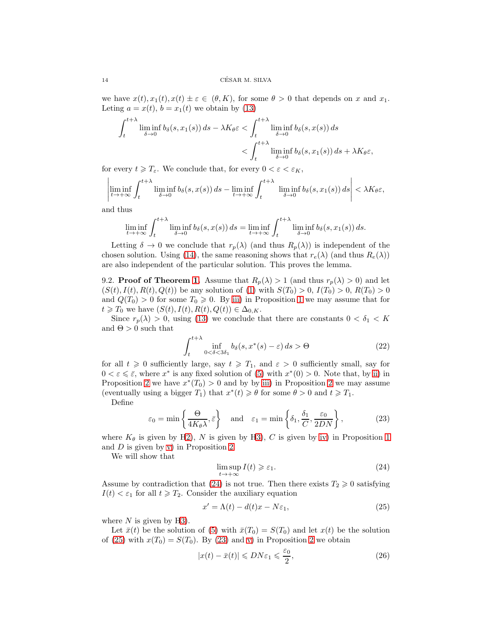we have  $x(t), x_1(t), x(t) \pm \varepsilon \in (\theta, K)$ , for some  $\theta > 0$  that depends on x and  $x_1$ . Leting  $a = x(t)$ ,  $b = x_1(t)$  we obtain by [\(13\)](#page-7-4)

$$
\int_{t}^{t+\lambda} \liminf_{\delta \to 0} b_{\delta}(s, x_{1}(s)) ds - \lambda K_{\theta} \varepsilon < \int_{t}^{t+\lambda} \liminf_{\delta \to 0} b_{\delta}(s, x(s)) ds < \int_{t}^{t+\lambda} \liminf_{\delta \to 0} b_{\delta}(s, x_{1}(s)) ds + \lambda K_{\theta} \varepsilon,
$$

for every  $t \geqslant T_{\varepsilon}$ . We conclude that, for every  $0 < \varepsilon < \varepsilon_K$ ,

$$
\left|\liminf_{t\to+\infty}\int_t^{t+\lambda}\liminf_{\delta\to 0}b_\delta(s,x(s))\,ds-\liminf_{t\to+\infty}\int_t^{t+\lambda}\left|\liminf_{\delta\to 0}b_\delta(s,x_1(s))\,ds\right|<\lambda K_\theta\varepsilon,
$$

and thus

$$
\liminf_{t \to +\infty} \int_{t}^{t+\lambda} \liminf_{\delta \to 0} b_{\delta}(s, x(s)) ds = \liminf_{t \to +\infty} \int_{t}^{t+\lambda} \liminf_{\delta \to 0} b_{\delta}(s, x_{1}(s)) ds.
$$

Letting  $\delta \to 0$  we conclude that  $r_p(\lambda)$  (and thus  $R_p(\lambda)$ ) is independent of the chosen solution. Using [\(14\)](#page-7-5), the same reasoning shows that  $r_e(\lambda)$  (and thus  $R_e(\lambda)$ ) are also independent of the particular solution. This proves the lemma.

9.2. **Proof of Theorem [1.](#page-7-2)** Assume that  $R_p(\lambda) > 1$  (and thus  $r_p(\lambda) > 0$ ) and let  $(S(t), I(t), R(t), Q(t))$  be any solution of [\(1\)](#page-3-1) with  $S(T_0) > 0$ ,  $I(T_0) > 0$ ,  $R(T_0) > 0$ and  $Q(T_0) > 0$  for some  $T_0 \ge 0$ . By [iii\)](#page-3-5) in Proposition [1](#page-3-7) we may assume that for  $t \geq T_0$  we have  $(S(t), I(t), R(t), Q(t)) \in \Delta_{0,K}$ .

Since  $r_p(\lambda) > 0$ , using [\(13\)](#page-7-4) we conclude that there are constants  $0 < \delta_1 < K$ and  $\Theta > 0$  such that

<span id="page-13-4"></span>
$$
\int_{t}^{t+\lambda} \inf_{0<\delta<3\delta_1} b_{\delta}(s, x^*(s)-\varepsilon) ds > \Theta
$$
 (22)

for all  $t \geq 0$  sufficiently large, say  $t \geq T_1$ , and  $\varepsilon > 0$  sufficiently small, say for  $0 < \varepsilon \leqslant \bar{\varepsilon}$ , where  $x^*$  is any fixed solution of [\(5\)](#page-4-0) with  $x^*(0) > 0$ . Note that, by [ii\)](#page-4-3) in Proposition [2](#page-4-8) we have  $x^*(T_0) > 0$  and by by [iii\)](#page-4-4) in Proposition 2 we may assume (eventually using a bigger  $T_1$ ) that  $x^*(t) \geq \theta$  for some  $\theta > 0$  and  $t \geq T_1$ .

Define

<span id="page-13-2"></span>
$$
\varepsilon_0 = \min\left\{\frac{\Theta}{4K_\theta\lambda}, \bar{\varepsilon}\right\} \quad \text{and} \quad \varepsilon_1 = \min\left\{\delta_1, \frac{\delta_1}{C}, \frac{\varepsilon_0}{2DN}\right\},\tag{23}
$$

where  $K_{\theta}$  is given by [H2\)](#page-5-0), N is given by [H3\)](#page-6-0), C is given by [iv\)](#page-3-6) in Proposition [1](#page-3-7) and  $D$  is given by [v\)](#page-4-7) in Proposition [2.](#page-4-8)

We will show that

<span id="page-13-0"></span>
$$
\limsup_{t \to +\infty} I(t) \geq \varepsilon_1. \tag{24}
$$

Assume by contradiction that [\(24\)](#page-13-0) is not true. Then there exists  $T_2 \geq 0$  satisfying  $I(t) < \varepsilon_1$  for all  $t \geq T_2$ . Consider the auxiliary equation

<span id="page-13-1"></span>
$$
x' = \Lambda(t) - d(t)x - N\varepsilon_1,\tag{25}
$$

where  $N$  is given by [H3\)](#page-6-0).

Let  $\bar{x}(t)$  be the solution of [\(5\)](#page-4-0) with  $\bar{x}(T_0) = S(T_0)$  and let  $x(t)$  be the solution of [\(25\)](#page-13-1) with  $x(T_0) = S(T_0)$ . By [\(23\)](#page-13-2) and [v\)](#page-4-7) in Proposition [2](#page-4-8) we obtain

<span id="page-13-3"></span>
$$
|x(t) - \bar{x}(t)| \leqslant DN\varepsilon_1 \leqslant \frac{\varepsilon_0}{2},\tag{26}
$$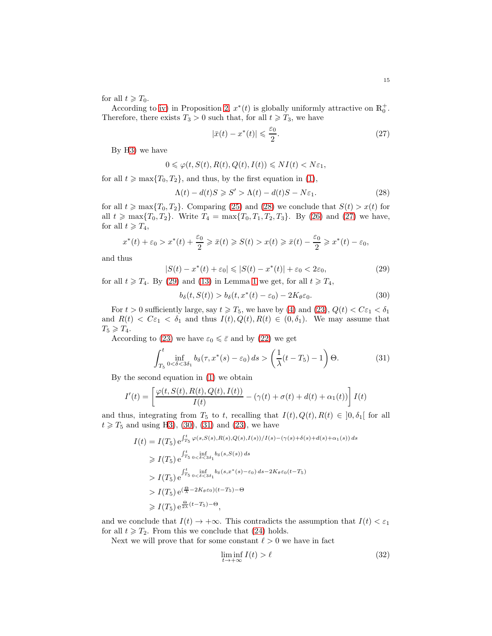for all  $t \geqslant T_0$ .

According to [iv\)](#page-4-5) in Proposition [2,](#page-4-8)  $x^*(t)$  is globally uniformly attractive on  $\mathbb{R}^+_0$ . Therefore, there exists  $T_3 > 0$  such that, for all  $t \geq T_3$ , we have

<span id="page-14-1"></span>
$$
|\bar{x}(t) - x^*(t)| \leqslant \frac{\varepsilon_0}{2}.\tag{27}
$$

By [H3\)](#page-6-0) we have

$$
0\leqslant \varphi(t,S(t),R(t),Q(t),I(t))\leqslant NI(t)
$$

for all  $t \ge \max\{T_0, T_2\}$ , and thus, by the first equation in [\(1\)](#page-3-1),

<span id="page-14-0"></span>
$$
\Lambda(t) - d(t)S \geq S' > \Lambda(t) - d(t)S - N\varepsilon_1. \tag{28}
$$

for all  $t \ge \max\{T_0, T_2\}$ . Comparing [\(25\)](#page-13-1) and [\(28\)](#page-14-0) we conclude that  $S(t) > x(t)$  for all  $t \ge \max\{T_0, T_2\}$ . Write  $T_4 = \max\{T_0, T_1, T_2, T_3\}$ . By [\(26\)](#page-13-3) and [\(27\)](#page-14-1) we have, for all  $t \geqslant T_4$ ,

$$
x^*(t) + \varepsilon_0 > x^*(t) + \frac{\varepsilon_0}{2} \geq \overline{x}(t) \geq S(t) > x(t) \geq \overline{x}(t) - \frac{\varepsilon_0}{2} \geq x^*(t) - \varepsilon_0,
$$

and thus

<span id="page-14-2"></span>
$$
|S(t) - x^*(t) + \varepsilon_0| \le |S(t) - x^*(t)| + \varepsilon_0 < 2\varepsilon_0,\tag{29}
$$

for all  $t \ge T_4$ . By [\(29\)](#page-14-2) and [\(13\)](#page-7-4) in Lemma [1](#page-7-3) we get, for all  $t \ge T_4$ ,

<span id="page-14-3"></span>
$$
b_{\delta}(t, S(t)) > b_{\delta}(t, x^*(t) - \varepsilon_0) - 2K_{\theta} \varepsilon_0.
$$
\n(30)

For  $t > 0$  sufficiently large, say  $t \ge T_5$ , we have by [\(4\)](#page-3-8) and [\(23\)](#page-13-2),  $Q(t) < C\varepsilon_1 < \delta_1$ and  $R(t) < C\varepsilon_1 < \delta_1$  and thus  $I(t), Q(t), R(t) \in (0, \delta_1)$ . We may assume that  $T_5 \geqslant T_4.$ 

According to [\(23\)](#page-13-2) we have  $\varepsilon_0 \leq \bar{\varepsilon}$  and by [\(22\)](#page-13-4) we get

<span id="page-14-4"></span>
$$
\int_{T_5}^t \inf_{0 < \delta < 3\delta_1} b_\delta(\tau, x^*(s) - \varepsilon_0) \, ds > \left( \frac{1}{\lambda} (t - T_5) - 1 \right) \Theta. \tag{31}
$$

By the second equation in [\(1\)](#page-3-1) we obtain

$$
I'(t) = \left[\frac{\varphi(t,S(t),R(t),Q(t),I(t))}{I(t)} - (\gamma(t) + \sigma(t) + d(t) + \alpha_1(t))\right]I(t)
$$

and thus, integrating from  $T_5$  to t, recalling that  $I(t), Q(t), R(t) \in ]0, \delta_1[$  for all  $t \ge T_5$  and using [H3\)](#page-6-0), [\(30\)](#page-14-3), [\(31\)](#page-14-4) and [\(23\)](#page-13-2), we have

$$
I(t) = I(T_5) e^{\int_{T_5}^t \varphi(s, S(s), R(s), Q(s), I(s))/I(s) - (\gamma(s) + \delta(s) + d(s) + \alpha_1(s)) ds}
$$
  
\n
$$
\geq I(T_5) e^{\int_{T_5}^t \int_{0}^t \delta(s, S(s)) ds}
$$
  
\n
$$
I(T_5) e^{\int_{T_5}^t \int_{0}^t \delta(s, S(s)) ds}
$$
  
\n
$$
I(T_5) e^{\int_{0}^t \int_{0}^t \delta(s, S(s)) ds} \geq I(T_5) e^{\int_{0}^t \frac{\alpha_1}{\lambda} - 2K_\theta \varepsilon_0} \frac{\log(1 - T_5)}{\log(1 - T_5)} - \Theta
$$
  
\n
$$
\geq I(T_5) e^{\frac{\Theta}{2\lambda}(t - T_5)} - \Theta,
$$

and we conclude that  $I(t) \to +\infty$ . This contradicts the assumption that  $I(t) < \varepsilon_1$ for all  $t \geq T_2$ . From this we conclude that [\(24\)](#page-13-0) holds.

Next we will prove that for some constant  $\ell > 0$  we have in fact

<span id="page-14-5"></span>
$$
\liminf_{t \to +\infty} I(t) > \ell \tag{32}
$$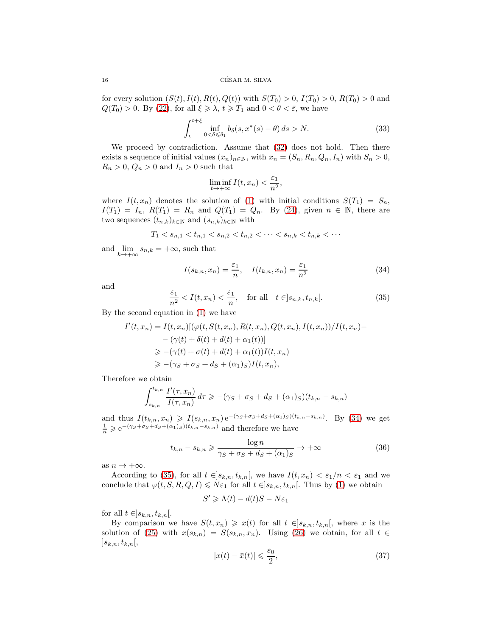for every solution  $(S(t), I(t), R(t), Q(t))$  with  $S(T_0) > 0$ ,  $I(T_0) > 0$ ,  $R(T_0) > 0$  and  $Q(T_0) > 0$ . By [\(22\)](#page-13-4), for all  $\xi \geq \lambda$ ,  $t \geq T_1$  and  $0 < \theta < \overline{\varepsilon}$ , we have

<span id="page-15-3"></span>
$$
\int_{t}^{t+\xi} \inf_{0<\delta\leq \delta_1} b_{\delta}(s, x^*(s)-\theta) ds > N. \tag{33}
$$

We proceed by contradiction. Assume that  $(32)$  does not hold. Then there exists a sequence of initial values  $(x_n)_{n\in\mathbb{N}}$ , with  $x_n = (S_n, R_n, Q_n, I_n)$  with  $S_n > 0$ ,  $R_n > 0, Q_n > 0$  and  $I_n > 0$  such that

$$
\liminf_{t \to +\infty} I(t, x_n) < \frac{\varepsilon_1}{n^2},
$$

where  $I(t, x_n)$  denotes the solution of [\(1\)](#page-3-1) with initial conditions  $S(T_1) = S_n$ ,  $I(T_1) = I_n$ ,  $R(T_1) = R_n$  and  $Q(T_1) = Q_n$ . By [\(24\)](#page-13-0), given  $n \in \mathbb{N}$ , there are two sequences  $(t_{n,k})_{k\in\mathbb{N}}$  and  $(s_{n,k})_{k\in\mathbb{N}}$  with

$$
T_1 < s_{n,1} < t_{n,1} < s_{n,2} < t_{n,2} < \cdots < s_{n,k} < t_{n,k} < \cdots
$$

and  $\lim_{k \to +\infty} s_{n,k} = +\infty$ , such that

<span id="page-15-0"></span>
$$
I(s_{k,n}, x_n) = \frac{\varepsilon_1}{n}, \quad I(t_{k,n}, x_n) = \frac{\varepsilon_1}{n^2}
$$
\n(34)

and

<span id="page-15-1"></span>
$$
\frac{\varepsilon_1}{n^2} < I(t, x_n) < \frac{\varepsilon_1}{n}, \quad \text{for all} \quad t \in ]s_{n,k}, t_{n,k}[\,. \tag{35}
$$

By the second equation in [\(1\)](#page-3-1) we have

$$
I'(t, x_n) = I(t, x_n)[(\varphi(t, S(t, x_n), R(t, x_n), Q(t, x_n), I(t, x_n))/I(t, x_n) -
$$
  

$$
-(\gamma(t) + \delta(t) + d(t) + \alpha_1(t))]
$$
  

$$
\geq -(\gamma(t) + \sigma(t) + d(t) + \alpha_1(t))I(t, x_n)
$$
  

$$
\geq -(\gamma_S + \sigma_S + d_S + (\alpha_1)_S)I(t, x_n),
$$

Therefore we obtain

$$
\int_{s_{k,n}}^{t_{k,n}} \frac{I'(\tau, x_n)}{I(\tau, x_n)} d\tau \geqslant -(\gamma_S + \sigma_S + d_S + (\alpha_1)_S)(t_{k,n} - s_{k,n})
$$

and thus  $I(t_{k,n}, x_n) \geqslant I(s_{k,n}, x_n) e^{-(\gamma s + \sigma s + ds + (\alpha_1)s)(t_{k,n} - s_{k,n})}$ . By [\(34\)](#page-15-0) we get  $\frac{1}{n} \geq e^{-(\gamma_S + \sigma_S + d_S + (\alpha_1)_S)(t_{k,n} - s_{k,n})}$  and therefore we have

<span id="page-15-2"></span>
$$
t_{k,n} - s_{k,n} \geqslant \frac{\log n}{\gamma_S + \sigma_S + d_S + (\alpha_1)_S} \to +\infty
$$
\n(36)

as  $n \to +\infty$ .

According to [\(35\)](#page-15-1), for all  $t \in ]s_{k,n}, t_{k,n}[$ , we have  $I(t, x_n) < \varepsilon_1/n < \varepsilon_1$  and we conclude that  $\varphi(t, S, R, Q, I) \leq N \varepsilon_1$  for all  $t \in ]s_{k,n}, t_{k,n}[$ . Thus by [\(1\)](#page-3-1) we obtain

$$
S' \geq \Lambda(t) - d(t)S - N\varepsilon_1
$$

for all  $t \in ]s_{k,n}, t_{k,n}$ .

By comparison we have  $S(t, x_n) \geq x(t)$  for all  $t \in ]s_{k,n}, t_{k,n}[$ , where x is the solution of [\(25\)](#page-13-1) with  $x(s_{k,n}) = S(s_{k,n}, x_n)$ . Using [\(26\)](#page-13-3) we obtain, for all  $t \in$  $]s_{k,n}, t_{k,n}[$ 

<span id="page-15-4"></span>
$$
|x(t) - \bar{x}(t)| \leq \frac{\varepsilon_0}{2},\tag{37}
$$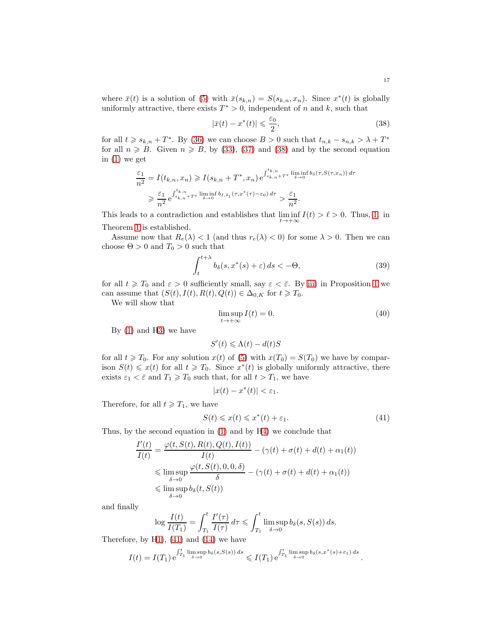where  $\bar{x}(t)$  is a solution of [\(5\)](#page-4-0) with  $\bar{x}(s_{k,n}) = S(s_{k,n}, x_n)$ . Since  $x^*(t)$  is globally uniformly attractive, there exists  $T^* > 0$ , independent of n and k, such that

<span id="page-16-0"></span>
$$
|\bar{x}(t) - x^*(t)| \leq \frac{\varepsilon_0}{2},\tag{38}
$$

for all  $t \geq s_{k,n} + T^*$ . By [\(36\)](#page-15-2) we can choose  $B > 0$  such that  $t_{n,k} - s_{n,k} > \lambda + T^*$ for all  $n \ge B$ . Given  $n \ge B$ , by [\(33\)](#page-15-3), [\(37\)](#page-15-4) and [\(38\)](#page-16-0) and by the second equation in [\(1\)](#page-3-1) we get

$$
\frac{\varepsilon_1}{n^2} = I(t_{k,n}, x_n) \ge I(s_{k,n} + T^*, x_n) e^{\int_{s_{k,n} + T^*}^{t_{k,n}} \liminf_{\delta \to 0} b_{\delta}(\tau, S(\tau, x_n)) d\tau}
$$
  

$$
\ge \frac{\varepsilon_1}{n^2} e^{\int_{s_{k,n} + T^*}^{t_{k,n}} \liminf_{\delta \to 0} b_{I, \delta_1}(\tau, x^*(\tau) - \varepsilon_0) d\tau} > \frac{\varepsilon_1}{n^2}.
$$

This leads to a contradiction and establishes that  $\liminf_{t\to+\infty} I(t) > \ell > 0$ . Thus, [1.](#page-7-6) in Theorem [1](#page-7-2) is established.

Assume now that  $R_e(\lambda) < 1$  (and thus  $r_e(\lambda) < 0$ ) for some  $\lambda > 0$ . Then we can choose  $\Theta > 0$  and  $T_0 > 0$  such that

<span id="page-16-2"></span>
$$
\int_{t}^{t+\lambda} b_{\delta}(s, x^{*}(s) + \varepsilon) ds < -\Theta,
$$
\n(39)

for all  $t \geq T_0$  and  $\varepsilon > 0$  sufficiently small, say  $\varepsilon < \bar{\varepsilon}$ . By [iii\)](#page-3-5) in Proposition [1](#page-3-7) we can assume that  $(S(t), I(t), R(t), Q(t)) \in \Delta_{0,K}$  for  $t \geq T_0$ .

We will show that

$$
\limsup_{t \to +\infty} I(t) = 0. \tag{40}
$$

By [\(1\)](#page-3-1) and [H3\)](#page-6-0) we have

$$
S'(t) \leq \Lambda(t) - d(t)S
$$

for all  $t \geq T_0$ . For any solution  $x(t)$  of [\(5\)](#page-4-0) with  $x(T_0) = S(T_0)$  we have by comparison  $S(t) \leq x(t)$  for all  $t \geq T_0$ . Since  $x^*(t)$  is globally uniformly attractive, there exists  $\varepsilon_1 < \bar{\varepsilon}$  and  $T_1 \geq T_0$  such that, for all  $t > T_1$ , we have

$$
|x(t) - x^*(t)| < \varepsilon_1.
$$

Therefore, for all  $t \geq T_1$ , we have

<span id="page-16-1"></span>
$$
S(t) \leqslant x(t) \leqslant x^*(t) + \varepsilon_1. \tag{41}
$$

.

Thus, by the second equation in [\(1\)](#page-3-1) and by [H4\)](#page-6-1) we conclude that

$$
\frac{I'(t)}{I(t)} = \frac{\varphi(t, S(t), R(t), Q(t), I(t))}{I(t)} - (\gamma(t) + \sigma(t) + d(t) + \alpha_1(t))
$$
\n
$$
\leq \limsup_{\delta \to 0} \frac{\varphi(t, S(t), 0, 0, \delta)}{\delta} - (\gamma(t) + \sigma(t) + d(t) + \alpha_1(t))
$$
\n
$$
\leq \limsup_{\delta \to 0} b_{\delta}(t, S(t))
$$

and finally

$$
\log \frac{I(t)}{I(T_1)} = \int_{T_1}^t \frac{I'(\tau)}{I(\tau)} d\tau \leq \int_{T_1}^t \limsup_{\delta \to 0} b_\delta(s, S(s)) ds.
$$

Therefore, by [H1\)](#page-5-1), [\(41\)](#page-16-1) and [\(14\)](#page-7-5) we have

$$
I(t) = I(T_1) e^{\int_{T_1}^t \limsup_{\delta \to 0} b_\delta(s, S(s)) ds} \leqslant I(T_1) e^{\int_{T_1}^t \limsup_{\delta \to 0} b_\delta(s, x^*(s) + \varepsilon_1) ds}
$$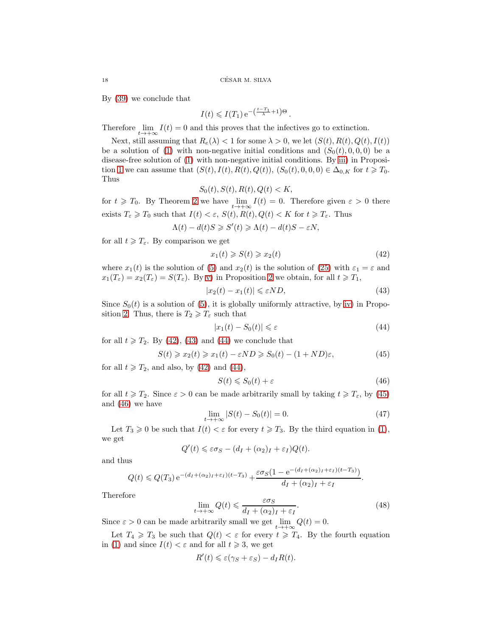By [\(39\)](#page-16-2) we conclude that

$$
I(t) \leqslant I(T_1) e^{-\left(\frac{t-T_1}{\lambda} + 1\right)\Theta}.
$$

Therefore  $\lim_{t\to+\infty} I(t) = 0$  and this proves that the infectives go to extinction.

Next, still assuming that  $R_e(\lambda) < 1$  for some  $\lambda > 0$ , we let  $(S(t), R(t), Q(t), I(t))$ be a solution of [\(1\)](#page-3-1) with non-negative initial conditions and  $(S_0(t), 0, 0, 0)$  be a disease-free solution of [\(1\)](#page-3-1) with non-negative initial conditions. By [iii\)](#page-3-5) in Proposi-tion [1](#page-3-7) we can assume that  $(S(t), I(t), R(t), Q(t)), (S_0(t), 0, 0, 0) \in \Delta_{0,K}$  for  $t \geq T_0$ . Thus

$$
S_0(t), S(t), R(t), Q(t) < K
$$

for  $t \geq T_0$ . By Theorem [2](#page-7-7) we have  $\lim_{t \to +\infty} I(t) = 0$ . Therefore given  $\varepsilon > 0$  there exists  $T_{\varepsilon} \geq T_0$  such that  $I(t) < \varepsilon$ ,  $S(t)$ ,  $R(t)$ ,  $Q(t) < K$  for  $t \geq T_{\varepsilon}$ . Thus

$$
\Lambda(t) - d(t)S \geqslant S'(t) \geqslant \Lambda(t) - d(t)S - \varepsilon N,
$$

for all  $t \geqslant T_{\varepsilon}$ . By comparison we get

<span id="page-17-0"></span>
$$
x_1(t) \ge S(t) \ge x_2(t) \tag{42}
$$

where  $x_1(t)$  is the solution of [\(5\)](#page-4-0) and  $x_2(t)$  is the solution of [\(25\)](#page-13-1) with  $\varepsilon_1 = \varepsilon$  and  $x_1(T_\varepsilon) = x_2(T_\varepsilon) = S(T_\varepsilon)$ . By [v\)](#page-4-7) in Proposition [2](#page-4-8) we obtain, for all  $t \geq T_1$ ,

<span id="page-17-1"></span>
$$
|x_2(t) - x_1(t)| \le \varepsilon N D,\tag{43}
$$

Since  $S_0(t)$  is a solution of [\(5\)](#page-4-0), it is globally uniformly attractive, by [iv\)](#page-4-5) in Propo-sition [2.](#page-4-8) Thus, there is  $T_2 \geq T_{\varepsilon}$  such that

<span id="page-17-2"></span>
$$
|x_1(t) - S_0(t)| \leq \varepsilon \tag{44}
$$

for all  $t \geq T_2$ . By [\(42\)](#page-17-0), [\(43\)](#page-17-1) and [\(44\)](#page-17-2) we conclude that

<span id="page-17-3"></span>
$$
S(t) \geq x_2(t) \geq x_1(t) - \varepsilon ND \geq S_0(t) - (1 + ND)\varepsilon,
$$
\n<sup>(45)</sup>

for all  $t \geq T_2$ , and also, by [\(42\)](#page-17-0) and [\(44\)](#page-17-2),

<span id="page-17-4"></span>
$$
S(t) \leqslant S_0(t) + \varepsilon \tag{46}
$$

for all  $t \geq T_2$ . Since  $\varepsilon > 0$  can be made arbitrarily small by taking  $t \geq T_{\varepsilon}$ , by [\(45\)](#page-17-3) and [\(46\)](#page-17-4) we have

$$
\lim_{t \to +\infty} |S(t) - S_0(t)| = 0.
$$
\n(47)

Let  $T_3 \geq 0$  be such that  $I(t) < \varepsilon$  for every  $t \geq T_3$ . By the third equation in [\(1\)](#page-3-1), we get

$$
Q'(t) \leq \varepsilon \sigma_S - (d_I + (\alpha_2)_I + \varepsilon_I)Q(t).
$$

and thus

$$
Q(t) \leq Q(T_3) e^{-(d_I + (\alpha_2)_I + \varepsilon_I)(t - T_3)} + \frac{\varepsilon \sigma_S (1 - e^{-(d_I + (\alpha_2)_I + \varepsilon_I)(t - T_3)})}{d_I + (\alpha_2)_I + \varepsilon_I}.
$$

Therefore

$$
\lim_{t \to +\infty} Q(t) \leq \frac{\varepsilon \sigma_S}{d_I + (\alpha_2)_I + \varepsilon_I}.
$$
\n(48)

Since  $\varepsilon > 0$  can be made arbitrarily small we get  $\lim_{t \to +\infty} Q(t) = 0$ .

Let  $T_4 \geq T_3$  be such that  $Q(t) < \varepsilon$  for every  $t \geq T_4$ . By the fourth equation in [\(1\)](#page-3-1) and since  $I(t) < \varepsilon$  and for all  $t \geq 3$ , we get

$$
R'(t) \leq \varepsilon(\gamma_S + \varepsilon_S) - d_I R(t).
$$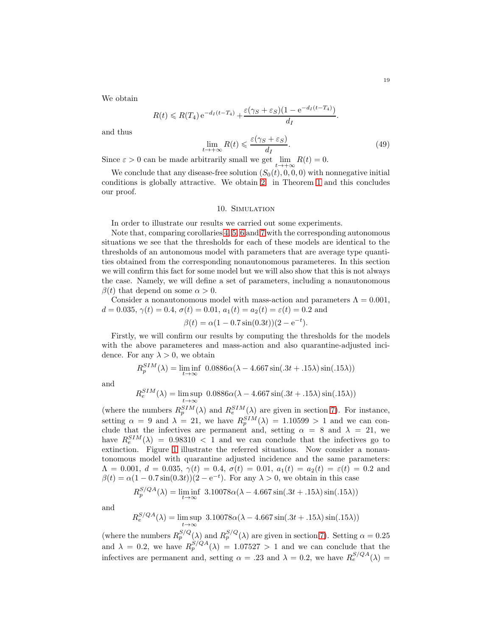We obtain

$$
R(t) \leqslant R(T_4) e^{-d_I(t-T_4)} + \frac{\varepsilon(\gamma_S + \varepsilon_S)(1 - e^{-d_I(t-T_4)})}{d_I}.
$$

and thus

$$
\lim_{t \to +\infty} R(t) \leqslant \frac{\varepsilon(\gamma_S + \varepsilon_S)}{d_I}.\tag{49}
$$

Since  $\varepsilon > 0$  can be made arbitrarily small we get  $\lim_{t \to +\infty} R(t) = 0$ .

We conclude that any disease-free solution  $(S_0(t), 0, 0, 0)$  with nonnegative initial conditions is globally attractive. We obtain [2.](#page-7-7) in Theorem [1](#page-7-2) and this concludes our proof.

### 10. Simulation

<span id="page-18-0"></span>In order to illustrate our results we carried out some experiments.

Note that, comparing corollaries [4,](#page-10-2) [5,](#page-10-3) [6](#page-11-3) and [7](#page-12-2) with the corresponding autonomous situations we see that the thresholds for each of these models are identical to the thresholds of an autonomous model with parameters that are average type quantities obtained from the corresponding nonautonomous parameteres. In this section we will confirm this fact for some model but we will also show that this is not always the case. Namely, we will define a set of parameters, including a nonautonomous  $\beta(t)$  that depend on some  $\alpha > 0$ .

Consider a nonautonomous model with mass-action and parameters  $\Lambda = 0.001$ ,  $d = 0.035, \gamma(t) = 0.4, \sigma(t) = 0.01, a_1(t) = a_2(t) = \varepsilon(t) = 0.2$  and

$$
\beta(t) = \alpha(1 - 0.7\sin(0.3t))(2 - e^{-t}).
$$

Firstly, we will confirm our results by computing the thresholds for the models with the above parameteres and mass-action and also quarantine-adjusted incidence. For any  $\lambda > 0$ , we obtain

$$
R_p^{SIM}(\lambda) = \liminf_{t \to \infty} 0.0886\alpha(\lambda - 4.667\sin(.3t + .15\lambda)\sin(.15\lambda))
$$

and

$$
R_e^{SIM}(\lambda) = \limsup_{t \to \infty} 0.0886\alpha(\lambda - 4.667\sin(.3t + .15\lambda)\sin(.15\lambda))
$$

(where the numbers  $R_p^{SIM}(\lambda)$  and  $R_e^{SIM}(\lambda)$  are given in section [7\)](#page-11-0). For instance, setting  $\alpha = 9$  and  $\lambda = 21$ , we have  $R_p^{SIM}(\lambda) = 1.10599 > 1$  and we can conclude that the infectives are permanent and, setting  $\alpha = 8$  and  $\lambda = 21$ , we have  $R_e^{SIM}(\lambda) = 0.98310 < 1$  and we can conclude that the infectives go to extinction. Figure [1](#page-19-0) illustrate the referred situations. Now consider a nonautonomous model with quarantine adjusted incidence and the same parameters:  $\Lambda = 0.001, d = 0.035, \gamma(t) = 0.4, \sigma(t) = 0.01, a_1(t) = a_2(t) = \varepsilon(t) = 0.2$  and  $\beta(t) = \alpha(1 - 0.7\sin(0.3t))(2 - e^{-t})$ . For any  $\lambda > 0$ , we obtain in this case

$$
R_p^{S/QA}(\lambda) = \liminf_{t \to \infty} 3.10078\alpha(\lambda - 4.667\sin(.3t + .15\lambda)\sin(.15\lambda))
$$

and

R

$$
R_e^{S/QA}(\lambda) = \limsup_{t \to \infty} 3.10078\alpha(\lambda - 4.667\sin(.3t + .15\lambda)\sin(.15\lambda))
$$

(where the numbers  $R_p^{S/Q}(\lambda)$  and  $R_p^{S/Q}(\lambda)$  are given in section [7\)](#page-11-0). Setting  $\alpha = 0.25$ and  $\lambda = 0.2$ , we have  $R_p^{S/QA}(\lambda) = 1.07527 > 1$  and we can conclude that the infectives are permanent and, setting  $\alpha = .23$  and  $\lambda = 0.2$ , we have  $R_e^{S/QA}(\lambda) =$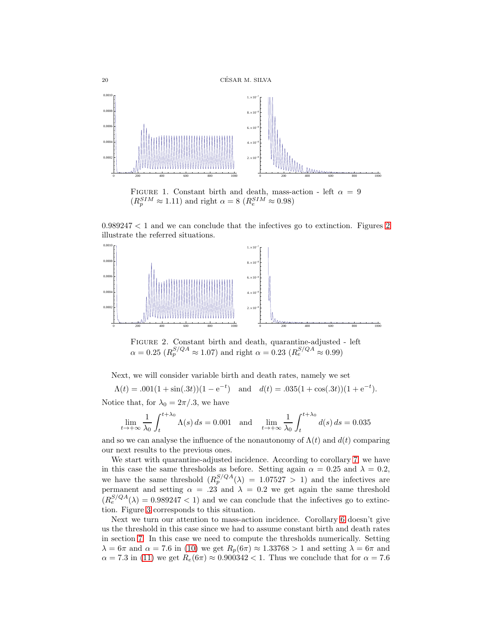<span id="page-19-0"></span>

FIGURE 1. Constant birth and death, mass-action - left  $\alpha = 9$  $(R_p^{SIM} \approx 1.11)$  and right  $\alpha = 8$   $(R_e^{SIM} \approx 0.98)$ 

 $0.989247 < 1$  and we can conclude that the infectives go to extinction. Figures [2](#page-19-1) illustrate the referred situations.

<span id="page-19-1"></span>

Figure 2. Constant birth and death, quarantine-adjusted - left  $\alpha = 0.25 \ (R_p^{S/QA} \approx 1.07)$  and right  $\alpha = 0.23 \ (R_e^{S/QA} \approx 0.99)$ 

Next, we will consider variable birth and death rates, namely we set

 $\Lambda(t) = .001(1 + \sin(.3t))(1 - e^{-t})$  and  $d(t) = .035(1 + \cos(.3t))(1 + e^{-t}).$ 

Notice that, for  $\lambda_0 = 2\pi/0.3$ , we have

$$
\lim_{t \to +\infty} \frac{1}{\lambda_0} \int_t^{t + \lambda_0} \Lambda(s) \, ds = 0.001 \quad \text{and} \quad \lim_{t \to +\infty} \frac{1}{\lambda_0} \int_t^{t + \lambda_0} d(s) \, ds = 0.035
$$

and so we can analyse the influence of the nonautonomy of  $\Lambda(t)$  and  $d(t)$  comparing our next results to the previous ones.

We start with quarantine-adjusted incidence. According to corollary [7,](#page-12-2) we have in this case the same thresholds as before. Setting again  $\alpha = 0.25$  and  $\lambda = 0.2$ , we have the same threshold  $(R_p^{S/QA}(\lambda) = 1.07527 > 1)$  and the infectives are permanent and setting  $\alpha = .23$  and  $\lambda = 0.2$  we get again the same threshold  $(R_e^{S/QA}(\lambda) = 0.989247 < 1)$  and we can conclude that the infectives go to extinction. Figure [3](#page-20-1) corresponds to this situation.

Next we turn our attention to mass-action incidence. Corollary [6](#page-11-3) doesn't give us the threshold in this case since we had to assume constant birth and death rates in section [7.](#page-11-0) In this case we need to compute the thresholds numerically. Setting  $\lambda = 6\pi$  and  $\alpha = 7.6$  in [\(10\)](#page-7-8) we get  $R_p(6\pi) \approx 1.33768 > 1$  and setting  $\lambda = 6\pi$  and  $\alpha = 7.3$  in [\(11\)](#page-7-9) we get  $R_e(6\pi) \approx 0.900342 < 1$ . Thus we conclude that for  $\alpha = 7.6$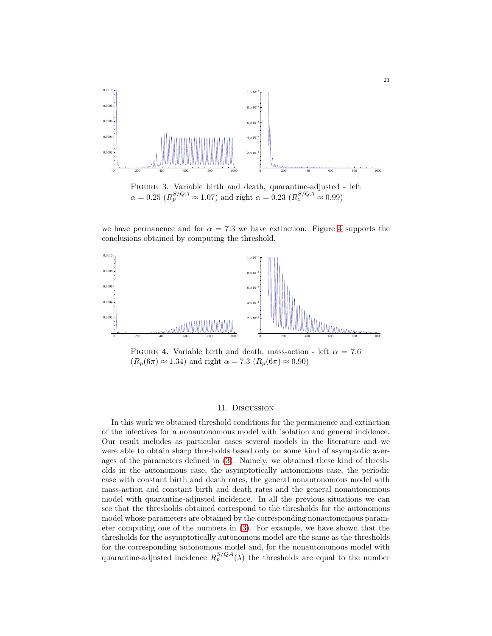<span id="page-20-1"></span>

Figure 3. Variable birth and death, quarantine-adjusted - left  $\alpha = 0.25 \ (R_p^{S/QA} \approx 1.07)$  and right  $\alpha = 0.23 \ (R_e^{S/QA} \approx 0.99)$ 

we have permanence and for  $\alpha = 7.3$  we have extinction. Figure [4](#page-20-2) supports the conclusions obtained by computing the threshold.

<span id="page-20-2"></span>

FIGURE 4. Variable birth and death, mass-action - left  $\alpha = 7.6$  $(R_p(6\pi) \approx 1.34)$  and right  $\alpha = 7.3$   $(R_p(6\pi) \approx 0.90)$ 

# 11. Discussion

<span id="page-20-0"></span>In this work we obtained threshold conditions for the permanence and extinction of the infectives for a nonautonomous model with isolation and general incidence. Our result includes as particular cases several models in the literature and we were able to obtain sharp thresholds based only on some kind of asymptotic averages of the parameters defined in [\(3\)](#page-3-9). Namely, we obtained these kind of thresholds in the autonomous case, the asymptotically autonomous case, the periodic case with constant birth and death rates, the general nonautonomous model with mass-action and constant birth and death rates and the general nonautonomous model with quarantine-adjusted incidence. In all the previous situations we can see that the thresholds obtained correspond to the thresholds for the autonomous model whose parameters are obtained by the corresponding nonautonomous parameter computing one of the numbers in [\(3\)](#page-3-9). For example, we have shown that the thresholds for the asymptotically autonomous model are the same as the thresholds for the corresponding autonomous model and, for the nonautonomous model with quarantine-adjusted incidence  $R_p^{S/QA}(\lambda)$  the thresholds are equal to the number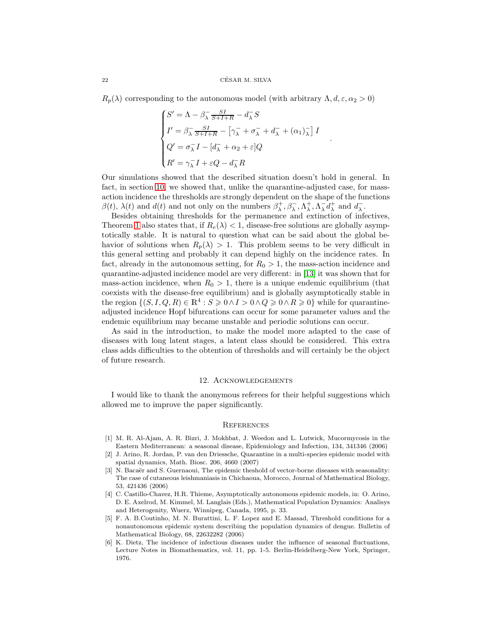$R_p(\lambda)$  corresponding to the autonomous model (with arbitrary  $\Lambda, d, \varepsilon, \alpha_2 > 0$ )

$$
\begin{cases}\nS' = \Lambda - \beta_{\lambda}^{-} \frac{SI}{S+I+R} - d_{\lambda}^{-} S \\
I' = \beta_{\lambda}^{-} \frac{SI}{S+I+R} - \left[\gamma_{\lambda}^{-} + \sigma_{\lambda}^{-} + d_{\lambda}^{-} + (\alpha_{1})_{\lambda}^{-}\right] I \\
Q' = \sigma_{\lambda}^{-} I - \left[d_{\lambda}^{-} + \alpha_{2} + \varepsilon\right] Q \\
R' = \gamma_{\lambda}^{-} I + \varepsilon Q - d_{\lambda}^{-} R\n\end{cases}
$$

.

Our simulations showed that the described situation doesn't hold in general. In fact, in section [10,](#page-18-0) we showed that, unlike the quarantine-adjusted case, for massaction incidence the thresholds are strongly dependent on the shape of the functions  $\beta(t)$ ,  $\lambda(t)$  and  $d(t)$  and not only on the numbers  $\beta^+_{\lambda}, \beta^-_{\lambda}, \Lambda^+_{\lambda}, \Lambda^-_{\lambda}$  $\overline{\lambda} d_{\lambda}^+$  and  $d_{\lambda}^ \frac{-}{\lambda}$ .

Besides obtaining thresholds for the permanence and extinction of infectives, Theorem [1](#page-7-2) also states that, if  $R_e(\lambda) < 1$ , disease-free solutions are globally asymptotically stable. It is natural to question what can be said about the global behavior of solutions when  $R_p(\lambda) > 1$ . This problem seems to be very difficult in this general setting and probably it can depend highly on the incidence rates. In fact, already in the autonomous setting, for  $R_0 > 1$ , the mass-action incidence and quarantine-adjusted incidence model are very different: in [\[13\]](#page-22-2) it was shown that for mass-action incidence, when  $R_0 > 1$ , there is a unique endemic equilibrium (that coexists with the disease-free equilibrium) and is globally asymptotically stable in the region  $\{(S, I, Q, R) \in \mathbb{R}^4 : S \geq 0 \land I > 0 \land Q \geq 0 \land R \geq 0\}$  while for quarantineadjusted incidence Hopf bifurcations can occur for some parameter values and the endemic equilibrium may became unstable and periodic solutions can occur.

As said in the introduction, to make the model more adapted to the case of diseases with long latent stages, a latent class should be considered. This extra class adds difficulties to the obtention of thresholds and will certainly be the object of future research.

# 12. Acknowledgements

I would like to thank the anonymous referees for their helpful suggestions which allowed me to improve the paper significantly.

### **REFERENCES**

- <span id="page-21-2"></span>[1] M. R. Al-Ajam, A. R. Bizri, J. Mokhbat, J. Weedon and L. Lutwick, Mucormycosis in the Eastern Mediterranean: a seasonal disease, Epidemiology and Infection, 134, 341346 (2006)
- <span id="page-21-0"></span>[2] J. Arino, R. Jordan, P. van den Driessche, Quarantine in a multi-species epidemic model with spatial dynamics, Math. Biosc. 206, 4660 (2007)
- <span id="page-21-3"></span>[3] N. Bacaër and S. Guernaoui, The epidemic theshold of vector-borne diseases with seasonality: The case of cutaneous leishmaniasis in Chichaoua, Morocco, Journal of Mathematical Biology, 53, 421436 (2006)
- <span id="page-21-5"></span>[4] C. Castillo-Chavez, H.R. Thieme, Asymptotically autonomous epidemic models, in: O. Arino, D. E. Axelrod, M. Kimmel, M. Langlais (Eds.), Mathematical Population Dynamics: Analisys and Heterogenity, Wuerz, Winnipeg, Canada, 1995, p. 33.
- <span id="page-21-4"></span>[5] F. A. B.Coutinho, M. N. Burattini, L. F. Lopez and E. Massad, Threshold conditions for a nonautonomous epidemic system describing the population dynamics of dengue. Bulletin of Mathematical Biology, 68, 22632282 (2006)
- <span id="page-21-1"></span>[6] K. Dietz, The incidence of infectious diseases under the influence of seasonal fluctuations, Lecture Notes in Biomathematics, vol. 11, pp. 1-5. Berlin-Heidelberg-New York, Springer, 1976.